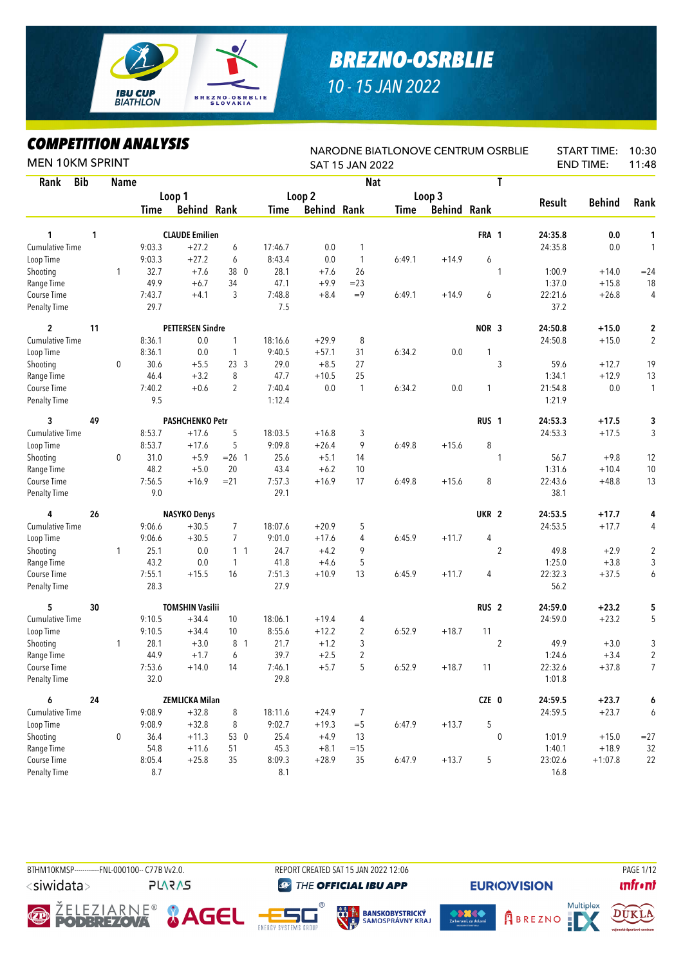

## *BREZNO-OSRBLIE*

*10 - 15 JAN 2022*

## *COMPETITION ANALYSIS*

| <b>MEN 10KM SPRINT</b> |    |             | MPEIIIIUN ANALIƏIƏ |                         |                 |         |                    | SAT 15 JAN 2022 |             |                    | NARODNE BIATLONOVE CENTRUM OSRBLIE |               | <b>START TIME:</b><br><b>END TIME:</b> | 10:30<br>11:48 |
|------------------------|----|-------------|--------------------|-------------------------|-----------------|---------|--------------------|-----------------|-------------|--------------------|------------------------------------|---------------|----------------------------------------|----------------|
| <b>Bib</b><br>Rank     |    | <b>Name</b> |                    |                         |                 |         |                    | <b>Nat</b>      |             |                    | T                                  |               |                                        |                |
|                        |    |             |                    | Loop 1                  |                 |         | Loop 2             |                 |             | Loop 3             |                                    |               |                                        |                |
|                        |    |             | Time               | <b>Behind Rank</b>      |                 | Time    | <b>Behind Rank</b> |                 | <b>Time</b> | <b>Behind Rank</b> |                                    | <b>Result</b> | <b>Behind</b>                          | Rank           |
| 1                      | 1  |             |                    | <b>CLAUDE Emilien</b>   |                 |         |                    |                 |             |                    | FRA 1                              | 24:35.8       | 0.0                                    | 1              |
| <b>Cumulative Time</b> |    |             | 9:03.3             | $+27.2$                 | 6               | 17:46.7 | 0.0                | 1               |             |                    |                                    | 24:35.8       | 0.0                                    | $\mathbf{1}$   |
| Loop Time              |    |             | 9:03.3             | $+27.2$                 | 6               | 8:43.4  | 0.0                | $\mathbf{1}$    | 6:49.1      | $+14.9$            | 6                                  |               |                                        |                |
| Shooting               |    | 1           | 32.7               | $+7.6$                  | 38 0            | 28.1    | $+7.6$             | 26              |             |                    | 1                                  | 1:00.9        | $+14.0$                                | $= 24$         |
| Range Time             |    |             | 49.9               | $+6.7$                  | 34              | 47.1    | $+9.9$             | $= 23$          |             |                    |                                    | 1:37.0        | $+15.8$                                | 18             |
| Course Time            |    |             | 7:43.7             | $+4.1$                  | 3               | 7:48.8  | $+8.4$             | $=9$            | 6:49.1      | $+14.9$            | 6                                  | 22:21.6       | $+26.8$                                | 4              |
| <b>Penalty Time</b>    |    |             | 29.7               |                         |                 | 7.5     |                    |                 |             |                    |                                    | 37.2          |                                        |                |
| $\overline{2}$         | 11 |             |                    | <b>PETTERSEN Sindre</b> |                 |         |                    |                 |             |                    | NOR <sub>3</sub>                   | 24:50.8       | $+15.0$                                | 2              |
| <b>Cumulative Time</b> |    |             | 8:36.1             | 0.0                     | $\mathbf{1}$    | 18:16.6 | $+29.9$            | 8               |             |                    |                                    | 24:50.8       | $+15.0$                                | $\overline{2}$ |
| Loop Time              |    |             | 8:36.1             | 0.0                     | 1               | 9:40.5  | $+57.1$            | 31              | 6:34.2      | 0.0                | 1                                  |               |                                        |                |
| Shooting               |    | 0           | 30.6               | $+5.5$                  | 23 <sup>3</sup> | 29.0    | $+8.5$             | 27              |             |                    | 3                                  | 59.6          | $+12.7$                                | 19             |
| Range Time             |    |             | 46.4               | $+3.2$                  | 8               | 47.7    | $+10.5$            | 25              |             |                    |                                    | 1:34.1        | $+12.9$                                | 13             |
| Course Time            |    |             | 7:40.2             | $+0.6$                  | $\overline{2}$  | 7:40.4  | 0.0                | $\mathbf{1}$    | 6:34.2      | 0.0                | 1                                  | 21:54.8       | 0.0                                    | $\mathbf{1}$   |
| <b>Penalty Time</b>    |    |             | 9.5                |                         |                 | 1:12.4  |                    |                 |             |                    |                                    | 1:21.9        |                                        |                |
| 3                      | 49 |             |                    | <b>PASHCHENKO Petr</b>  |                 |         |                    |                 |             |                    | RUS <sub>1</sub>                   | 24:53.3       | $+17.5$                                | 3              |
| Cumulative Time        |    |             | 8:53.7             | $+17.6$                 | 5               | 18:03.5 | $+16.8$            | 3               |             |                    |                                    | 24:53.3       | $+17.5$                                | 3              |
| Loop Time              |    |             | 8:53.7             | $+17.6$                 | 5               | 9:09.8  | $+26.4$            | 9               | 6:49.8      | $+15.6$            | 8                                  |               |                                        |                |
| Shooting               |    | 0           | 31.0               | $+5.9$                  | $= 26$ 1        | 25.6    | $+5.1$             | 14              |             |                    | 1                                  | 56.7          | $+9.8$                                 | 12             |
| Range Time             |    |             | 48.2               | $+5.0$                  | 20              | 43.4    | $+6.2$             | 10              |             |                    |                                    | 1:31.6        | $+10.4$                                | $10$           |
| Course Time            |    |             | 7:56.5             | $+16.9$                 | $= 21$          | 7:57.3  | $+16.9$            | 17              | 6:49.8      | $+15.6$            | 8                                  | 22:43.6       | $+48.8$                                | 13             |
| <b>Penalty Time</b>    |    |             | 9.0                |                         |                 | 29.1    |                    |                 |             |                    |                                    | 38.1          |                                        |                |
| 4                      | 26 |             |                    | <b>NASYKO Denys</b>     |                 |         |                    |                 |             |                    | UKR <sub>2</sub>                   | 24:53.5       | $+17.7$                                | 4              |
| Cumulative Time        |    |             | 9:06.6             | $+30.5$                 | 7               | 18:07.6 | $+20.9$            | 5               |             |                    |                                    | 24:53.5       | $+17.7$                                | 4              |
| Loop Time              |    |             | 9:06.6             | $+30.5$                 | $\overline{7}$  | 9:01.0  | $+17.6$            | 4               | 6:45.9      | $+11.7$            | 4                                  |               |                                        |                |
| Shooting               |    | 1           | 25.1               | 0.0                     | $1\quad1$       | 24.7    | $+4.2$             | 9               |             |                    | $\overline{2}$                     | 49.8          | $+2.9$                                 | $\overline{2}$ |
| Range Time             |    |             | 43.2               | 0.0                     | $\mathbf{1}$    | 41.8    | $+4.6$             | 5               |             |                    |                                    | 1:25.0        | $+3.8$                                 | 3              |
| Course Time            |    |             | 7:55.1             | $+15.5$                 | 16              | 7:51.3  | $+10.9$            | 13              | 6:45.9      | $+11.7$            | 4                                  | 22:32.3       | $+37.5$                                | 6              |
| <b>Penalty Time</b>    |    |             | 28.3               |                         |                 | 27.9    |                    |                 |             |                    |                                    | 56.2          |                                        |                |
| 5                      | 30 |             |                    | <b>TOMSHIN Vasilii</b>  |                 |         |                    |                 |             |                    | RUS <sub>2</sub>                   | 24:59.0       | $+23.2$                                | 5              |
| <b>Cumulative Time</b> |    |             | 9:10.5             | $+34.4$                 | 10              | 18:06.1 | $+19.4$            | 4               |             |                    |                                    | 24:59.0       | $+23.2$                                | 5              |
| Loop Time              |    |             | 9:10.5             | $+34.4$                 | 10              | 8:55.6  | $+12.2$            | 2               | 6:52.9      | $+18.7$            | 11                                 |               |                                        |                |
| Shooting               |    | 1           | 28.1               | $+3.0$                  | 8 1             | 21.7    | $+1.2$             | 3               |             |                    | $\overline{2}$                     | 49.9          | $+3.0$                                 | 3              |
| Range Time             |    |             | 44.9               | $+1.7$                  | 6               | 39.7    | $+2.5$             |                 |             |                    |                                    | 1:24.6        | $+3.4$                                 | $\overline{2}$ |
| Course Time            |    |             | 7:53.6             | $+14.0$                 | 14              | 7:46.1  | $+5.7$             | 5               | 6:52.9      | $+18.7$            | 11                                 | 22:32.6       | $+37.8$                                | $\overline{7}$ |
| Penalty Time           |    |             | 32.0               |                         |                 | 29.8    |                    |                 |             |                    |                                    | 1:01.8        |                                        |                |
| 6                      | 24 |             |                    | <b>ZEMLICKA Milan</b>   |                 |         |                    |                 |             |                    | CZE 0                              | 24:59.5       | $+23.7$                                | 6              |
| Cumulative Time        |    |             | 9:08.9             | $+32.8$                 | 8               | 18:11.6 | $+24.9$            | 7               |             |                    |                                    | 24:59.5       | $+23.7$                                | 6              |
| Loop Time              |    |             | 9:08.9             | $+32.8$                 | 8               | 9:02.7  | $+19.3$            | $=$ 5           | 6:47.9      | $+13.7$            | 5                                  |               |                                        |                |
| Shooting               |    | 0           | 36.4               | $+11.3$                 | 53 0            | 25.4    | $+4.9$             | 13              |             |                    | 0                                  | 1:01.9        | $+15.0$                                | $=27$          |
| Range Time             |    |             | 54.8               | $+11.6$                 | 51              | 45.3    | $+8.1$             | $=15$           |             |                    |                                    | 1:40.1        | $+18.9$                                | 32             |
| Course Time            |    |             | 8:05.4             | $+25.8$                 | 35              | 8:09.3  | $+28.9$            | 35              | 6:47.9      | $+13.7$            | 5                                  | 23:02.6       | $+1:07.8$                              | 22             |
| <b>Penalty Time</b>    |    |             | 8.7                |                         |                 | 8.1     |                    |                 |             |                    |                                    | 16.8          |                                        |                |

BTHM10KMSP-----------FNL-000100-- C77B W2.0. REPORT CREATED SAT 15 JAN 2022 12:06 PAGE 1/12 <siwidata> **PLARAS** 

**@** THE OFFICIAL IBU APP

e.<br>S













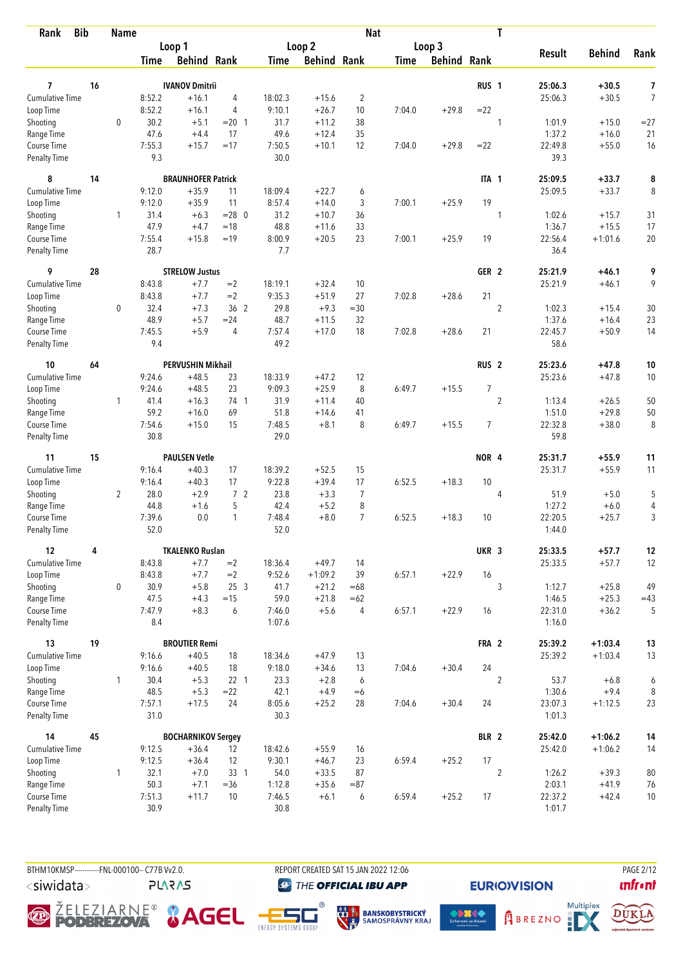| <b>Bib</b><br>Rank          |    | <b>Name</b>    |                |                           |                 |                  |                    | <b>Nat</b>     |             |                    |                  | T              |                   |                     |                |
|-----------------------------|----|----------------|----------------|---------------------------|-----------------|------------------|--------------------|----------------|-------------|--------------------|------------------|----------------|-------------------|---------------------|----------------|
|                             |    |                |                | Loop 1                    |                 |                  | Loop <sub>2</sub>  |                |             | Loop 3             |                  |                |                   |                     |                |
|                             |    |                | <b>Time</b>    | <b>Behind Rank</b>        |                 | Time             | <b>Behind Rank</b> |                | <b>Time</b> | <b>Behind Rank</b> |                  |                | <b>Result</b>     | <b>Behind</b>       | Rank           |
| 7                           | 16 |                |                | <b>IVANOV Dmitrii</b>     |                 |                  |                    |                |             |                    | RUS <sub>1</sub> |                | 25:06.3           | $+30.5$             | 7              |
| <b>Cumulative Time</b>      |    |                | 8:52.2         | $+16.1$                   | 4               | 18:02.3          | $+15.6$            | $\overline{2}$ |             |                    |                  |                | 25:06.3           | $+30.5$             | $\overline{7}$ |
| Loop Time                   |    |                | 8:52.2         | $+16.1$                   | 4               | 9:10.1           | $+26.7$            | 10             | 7:04.0      | $+29.8$            | $= 22$           |                |                   |                     |                |
| Shooting                    |    | $\mathbf 0$    | 30.2           | $+5.1$                    | $= 20$ 1        | 31.7             | $+11.2$            | 38             |             |                    |                  | 1              | 1:01.9            | $+15.0$             | $= 27$         |
| Range Time                  |    |                | 47.6           | $+4.4$                    | 17              | 49.6             | $+12.4$            | 35             |             |                    |                  |                | 1:37.2            | $+16.0$             | 21             |
| Course Time                 |    |                | 7:55.3         | $+15.7$                   | $=17$           | 7:50.5           | $+10.1$            | 12             | 7:04.0      | $+29.8$            | $= 22$           |                | 22:49.8           | $+55.0$             | 16             |
| <b>Penalty Time</b>         |    |                | 9.3            |                           |                 | 30.0             |                    |                |             |                    |                  |                | 39.3              |                     |                |
| 8                           | 14 |                |                | <b>BRAUNHOFER Patrick</b> |                 |                  |                    |                |             |                    | ITA 1            |                | 25:09.5           | $+33.7$             | 8              |
| Cumulative Time             |    |                | 9:12.0         | $+35.9$                   | 11              | 18:09.4          | $+22.7$            | 6              |             |                    |                  |                | 25:09.5           | $+33.7$             | 8              |
| Loop Time                   |    |                | 9:12.0         | $+35.9$                   | 11              | 8:57.4           | $+14.0$            | 3              | 7:00.1      | $+25.9$            | 19               |                |                   |                     |                |
| Shooting                    |    | 1              | 31.4           | $+6.3$                    | $= 28$ 0        | 31.2             | $+10.7$            | 36             |             |                    |                  | 1              | 1:02.6            | $+15.7$             | 31             |
| Range Time                  |    |                | 47.9           | $+4.7$                    | $=18$           | 48.8             | $+11.6$            | 33             |             |                    |                  |                | 1:36.7            | $+15.5$             | 17             |
| Course Time                 |    |                | 7:55.4         | $+15.8$                   | $=19$           | 8:00.9           | $+20.5$            | 23             | 7:00.1      | $+25.9$            | 19               |                | 22:56.4           | $+1:01.6$           | 20             |
| <b>Penalty Time</b>         |    |                | 28.7           |                           |                 | 7.7              |                    |                |             |                    |                  |                | 36.4              |                     |                |
| 9                           | 28 |                |                | <b>STRELOW Justus</b>     |                 |                  |                    |                |             |                    | GER <sub>2</sub> |                | 25:21.9           | +46.1               | 9              |
| <b>Cumulative Time</b>      |    |                | 8:43.8         | $+7.7$                    | $=2$            | 18:19.1          | $+32.4$            | 10             |             |                    |                  |                | 25:21.9           | $+46.1$             | 9              |
| Loop Time                   |    |                | 8:43.8         | $+7.7$                    | $=2$            | 9:35.3           | $+51.9$            | 27             | 7:02.8      | $+28.6$            | 21               |                |                   |                     |                |
| Shooting                    |    | $\mathbf 0$    | 32.4           | $+7.3$                    | 36 2            | 29.8             | $+9.3$             | $=30$          |             |                    |                  | $\overline{c}$ | 1:02.3            | $+15.4$             | $30\,$         |
| Range Time                  |    |                | 48.9           | $+5.7$                    | $= 24$          | 48.7             | $+11.5$            | 32             |             |                    |                  |                | 1:37.6            | $+16.4$             | 23             |
| Course Time                 |    |                | 7:45.5         | $+5.9$                    | 4               | 7:57.4           | $+17.0$            | 18             | 7:02.8      | $+28.6$            | 21               |                | 22:45.7           | $+50.9$             | 14             |
| <b>Penalty Time</b>         |    |                | 9.4            |                           |                 | 49.2             |                    |                |             |                    |                  |                | 58.6              |                     |                |
| 10                          | 64 |                |                | <b>PERVUSHIN Mikhail</b>  |                 |                  |                    |                |             |                    | RUS <sub>2</sub> |                | 25:23.6           | $+47.8$             | 10             |
| Cumulative Time             |    |                | 9:24.6         | $+48.5$                   | 23              | 18:33.9          | $+47.2$            | 12             |             |                    |                  |                | 25:23.6           | $+47.8$             | 10             |
| Loop Time                   |    |                | 9:24.6         | $+48.5$                   | 23              | 9:09.3           | $+25.9$            | 8              | 6:49.7      | $+15.5$            | 7                |                |                   |                     |                |
| Shooting                    |    | $\mathbf{1}$   | 41.4           | $+16.3$                   | 74 1            | 31.9             | $+11.4$            | 40             |             |                    |                  | $\overline{2}$ | 1:13.4            | $+26.5$             | 50             |
| Range Time                  |    |                | 59.2           | $+16.0$                   | 69              | 51.8             | $+14.6$            | 41             |             |                    |                  |                | 1:51.0            | $+29.8$             | 50             |
| Course Time                 |    |                | 7:54.6         | $+15.0$                   | 15              | 7:48.5           | $+8.1$             | 8              | 6:49.7      | $+15.5$            | $\overline{7}$   |                | 22:32.8           | $+38.0$             | 8              |
| <b>Penalty Time</b>         |    |                | 30.8           |                           |                 | 29.0             |                    |                |             |                    |                  |                | 59.8              |                     |                |
| 11                          | 15 |                |                | <b>PAULSEN Vetle</b>      |                 |                  |                    |                |             |                    | NOR 4            |                | 25:31.7           | $+55.9$             | 11             |
| <b>Cumulative Time</b>      |    |                | 9:16.4         | $+40.3$                   | 17              | 18:39.2          | $+52.5$            | 15             |             |                    |                  |                | 25:31.7           | $+55.9$             | 11             |
| Loop Time                   |    |                | 9:16.4         | $+40.3$                   | 17              | 9:22.8           | $+39.4$            | 17             | 6:52.5      | $+18.3$            | 10               |                |                   |                     |                |
| Shooting                    |    | $\overline{2}$ | 28.0           | $+2.9$                    | 7 <sub>2</sub>  | 23.8             | $+3.3$             | $\overline{7}$ |             |                    |                  | 4              | 51.9              | $+5.0$              | 5              |
| Range Time                  |    |                | 44.8           | $+1.6$                    | 5               | 42.4             | $+5.2$             | 8              |             |                    |                  |                | 1:27.2            | $+6.0$              | 4              |
| Course Time                 |    |                | 7:39.6         | 0.0                       | 1               | 7:48.4           | $+8.0$             | $\overline{7}$ | 6:52.5      | $+18.3$            | 10               |                | 22:20.5           | $+25.7$             | 3              |
| <b>Penalty Time</b>         |    |                | 52.0           |                           |                 | 52.0             |                    |                |             |                    |                  |                | 1:44.0            |                     |                |
| 12                          | 4  |                |                | <b>TKALENKO Ruslan</b>    |                 |                  |                    |                |             |                    | UKR 3            |                | 25:33.5           | $+57.7$             | 12             |
| <b>Cumulative Time</b>      |    |                | 8:43.8         | $+7.7$                    | $=2$            | 18:36.4          | $+49.7$            | 14             |             |                    |                  |                | 25:33.5           | $+57.7$             | 12             |
| Loop Time                   |    |                | 8:43.8         | $+7.7$                    | $=2$            | 9:52.6           | $+1:09.2$          | 39             | 6:57.1      | $+22.9$            | 16               |                |                   |                     |                |
| Shooting                    |    | 0              | 30.9           | $+5.8$                    | 253             | 41.7             | $+21.2$            | $=68$          |             |                    |                  | 3              | 1:12.7            | $+25.8$             | 49             |
| Range Time                  |    |                | 47.5           | $+4.3$                    | $=15$           | 59.0             | $+21.8$            | $=62$          |             |                    |                  |                | 1:46.5            | $+25.3$             | $=43$          |
| Course Time<br>Penalty Time |    |                | 7:47.9<br>8.4  | $+8.3$                    | 6               | 7:46.0<br>1:07.6 | $+5.6$             | 4              | 6:57.1      | $+22.9$            | 16               |                | 22:31.0<br>1:16.0 | $+36.2$             | 5              |
| 13                          | 19 |                |                | <b>BROUTIER Remi</b>      |                 |                  |                    |                |             |                    |                  |                | 25:39.2           |                     |                |
| <b>Cumulative Time</b>      |    |                |                |                           |                 |                  | $+47.9$            | 13             |             |                    | FRA 2            |                |                   | $+1:03.4$           | 13             |
|                             |    |                | 9:16.6         | $+40.5$<br>$+40.5$        | 18<br>18        | 18:34.6          |                    |                |             | $+30.4$            | 24               |                | 25:39.2           | $+1:03.4$           | 13             |
| Loop Time                   |    |                | 9:16.6         |                           |                 | 9:18.0           | $+34.6$            | 13             | 7:04.6      |                    |                  |                |                   |                     |                |
| Shooting                    |    | $\mathbf{1}$   | 30.4           | $+5.3$                    | 22 <sub>1</sub> | 23.3<br>42.1     | $+2.8$             | 6              |             |                    |                  | $\overline{2}$ | 53.7              | $+6.8$              | 6              |
| Range Time<br>Course Time   |    |                | 48.5<br>7:57.1 | $+5.3$<br>$+17.5$         | $= 22$<br>24    | 8:05.6           | $+4.9$<br>$+25.2$  | $=6$<br>28     | 7:04.6      | $+30.4$            | 24               |                | 1:30.6<br>23:07.3 | $+9.4$<br>$+1:12.5$ | 8<br>23        |
| Penalty Time                |    |                | 31.0           |                           |                 | 30.3             |                    |                |             |                    |                  |                | 1:01.3            |                     |                |
| 14                          | 45 |                |                | <b>BOCHARNIKOV Sergey</b> |                 |                  |                    |                |             |                    | BLR 2            |                | 25:42.0           | $+1:06.2$           | 14             |
| <b>Cumulative Time</b>      |    |                | 9:12.5         | $+36.4$                   | 12              | 18:42.6          | $+55.9$            | 16             |             |                    |                  |                | 25:42.0           | $+1:06.2$           | 14             |
| Loop Time                   |    |                | 9:12.5         | $+36.4$                   | 12              | 9:30.1           | $+46.7$            | 23             | 6:59.4      | $+25.2$            | 17               |                |                   |                     |                |
| Shooting                    |    | 1              | 32.1           | $+7.0$                    | $33 \quad 1$    | 54.0             | $+33.5$            | 87             |             |                    |                  | $\overline{c}$ | 1:26.2            | $+39.3$             | 80             |
| Range Time                  |    |                | 50.3           | $+7.1$                    | $= 36$          | 1:12.8           | $+35.6$            | $= 87$         |             |                    |                  |                | 2:03.1            | $+41.9$             | 76             |
| Course Time                 |    |                | 7:51.3         | $+11.7$                   | 10              | 7:46.5           | $+6.1$             | 6              | 6:59.4      | $+25.2$            | 17               |                | 22:37.2           | $+42.4$             | 10             |
| Penalty Time                |    |                | 30.9           |                           |                 | 30.8             |                    |                |             |                    |                  |                | 1:01.7            |                     |                |

BTHM10KMSP-----------FNL-000100-- C77B Vv2.0. <siwidata>

REPORT CREATED SAT 15 JAN 2022 12:06 **PLARAS THE OFFICIAL IBU APP** 

**O ŽELEZIARNE<sup>®</sup> SAGEL FESE** 



**CONSTRUCTION** 

**EURIO)VISION** 





**PAGE 2/12** *<u><u>Infront</u>*</u>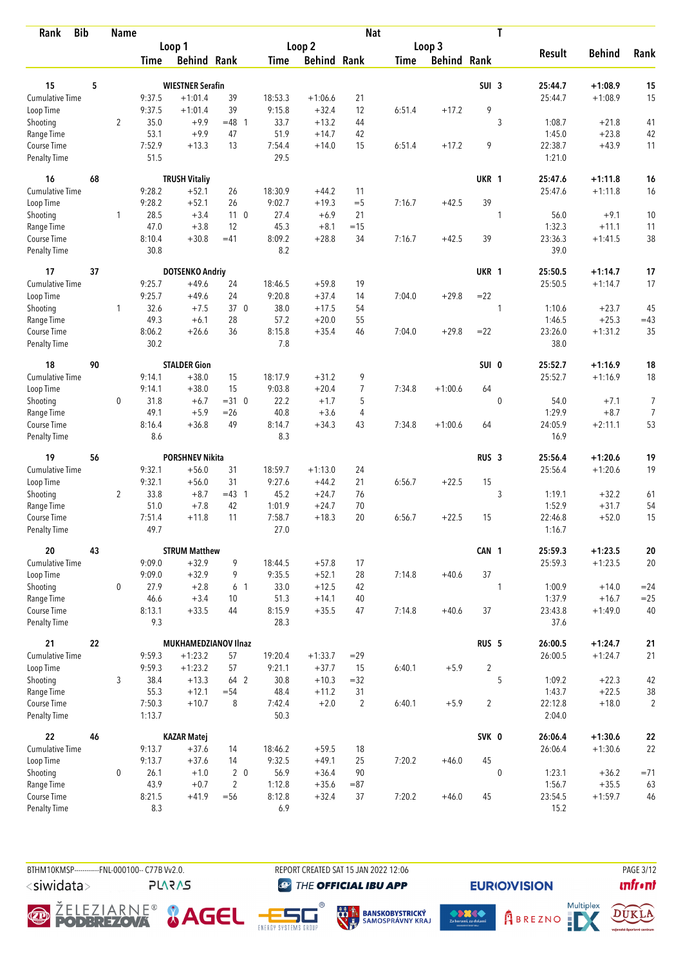| <b>Bib</b><br>Rank          |    | <b>Name</b>    |                  |                         |                 |                |                    | <b>Nat</b>     |             |                    |                  | T            |                   |               |                |
|-----------------------------|----|----------------|------------------|-------------------------|-----------------|----------------|--------------------|----------------|-------------|--------------------|------------------|--------------|-------------------|---------------|----------------|
|                             |    |                |                  | Loop 1                  |                 |                | Loop 2             |                |             | Loop 3             |                  |              |                   |               |                |
|                             |    |                | Time             | <b>Behind Rank</b>      |                 | Time           | <b>Behind Rank</b> |                | <b>Time</b> | <b>Behind Rank</b> |                  |              | <b>Result</b>     | <b>Behind</b> | Rank           |
| 15                          | 5  |                |                  | <b>WIESTNER Serafin</b> |                 |                |                    |                |             |                    | SUI <sub>3</sub> |              | 25:44.7           | $+1:08.9$     | 15             |
| Cumulative Time             |    |                |                  | $+1:01.4$               | 39              | 18:53.3        |                    | 21             |             |                    |                  |              |                   | $+1:08.9$     |                |
|                             |    |                | 9:37.5           |                         | 39              |                | $+1:06.6$          |                |             |                    |                  |              | 25:44.7           |               | 15             |
| Loop Time                   |    |                | 9:37.5           | $+1:01.4$               |                 | 9:15.8         | $+32.4$            | 12             | 6:51.4      | $+17.2$            | 9                |              |                   |               |                |
| Shooting                    |    | $\overline{2}$ | 35.0             | $+9.9$                  | $=48$ 1         | 33.7           | $+13.2$            | 44             |             |                    |                  | 3            | 1:08.7            | $+21.8$       | 41             |
| Range Time                  |    |                | 53.1             | $+9.9$                  | 47              | 51.9           | $+14.7$            | 42             |             |                    |                  |              | 1:45.0            | $+23.8$       | 42             |
| Course Time<br>Penalty Time |    |                | 7:52.9<br>51.5   | $+13.3$                 | 13              | 7:54.4<br>29.5 | $+14.0$            | 15             | 6:51.4      | $+17.2$            | 9                |              | 22:38.7<br>1:21.0 | $+43.9$       | 11             |
| 16                          | 68 |                |                  | <b>TRUSH Vitaliy</b>    |                 |                |                    |                |             |                    | UKR 1            |              | 25:47.6           | $+1:11.8$     | 16             |
| <b>Cumulative Time</b>      |    |                | 9:28.2           | $+52.1$                 | 26              | 18:30.9        | $+44.2$            | 11             |             |                    |                  |              | 25:47.6           | $+1:11.8$     | 16             |
| Loop Time                   |    |                | 9:28.2           | $+52.1$                 | 26              | 9:02.7         | $+19.3$            | $=$ 5          | 7:16.7      | $+42.5$            | 39               |              |                   |               |                |
| Shooting                    |    | 1              | 28.5             | $+3.4$                  | 11 <sub>0</sub> | 27.4           | $+6.9$             | 21             |             |                    |                  | $\mathbf{1}$ | 56.0              | $+9.1$        | 10             |
| Range Time                  |    |                | 47.0             | $+3.8$                  | 12              | 45.3           | $+8.1$             | $=15$          |             |                    |                  |              | 1:32.3            | $+11.1$       | 11             |
| Course Time                 |    |                | 8:10.4           | $+30.8$                 | $=41$           | 8:09.2         | $+28.8$            | 34             | 7:16.7      | $+42.5$            | 39               |              | 23:36.3           | $+1:41.5$     | 38             |
| Penalty Time                |    |                | 30.8             |                         |                 | 8.2            |                    |                |             |                    |                  |              | 39.0              |               |                |
| 17                          | 37 |                |                  | <b>DOTSENKO Andriy</b>  |                 |                |                    |                |             |                    | UKR 1            |              | 25:50.5           | $+1:14.7$     | 17             |
| <b>Cumulative Time</b>      |    |                | 9:25.7           | $+49.6$                 | 24              | 18:46.5        | $+59.8$            | 19             |             |                    |                  |              | 25:50.5           | $+1:14.7$     | 17             |
| Loop Time                   |    |                | 9:25.7           | $+49.6$                 | 24              | 9:20.8         | $+37.4$            | 14             | 7:04.0      | $+29.8$            | $= 22$           |              |                   |               |                |
| Shooting                    |    | $\mathbf{1}$   | 32.6             | $+7.5$                  | 37 0            | 38.0           | $+17.5$            | 54             |             |                    |                  | 1            | 1:10.6            | $+23.7$       | 45             |
| Range Time                  |    |                | 49.3             | $+6.1$                  | 28              | 57.2           | $+20.0$            | 55             |             |                    |                  |              | 1:46.5            | $+25.3$       | $=43$          |
| Course Time                 |    |                | 8:06.2           | $+26.6$                 | 36              | 8:15.8         | $+35.4$            | 46             | 7:04.0      | $+29.8$            | $= 22$           |              | 23:26.0           | $+1:31.2$     | 35             |
| Penalty Time                |    |                | 30.2             |                         |                 | 7.8            |                    |                |             |                    |                  |              | 38.0              |               |                |
| 18                          | 90 |                |                  | <b>STALDER Gion</b>     |                 |                |                    |                |             |                    | SUI 0            |              | 25:52.7           | $+1:16.9$     | 18             |
| Cumulative Time             |    |                | 9:14.1           | $+38.0$                 | 15              | 18:17.9        | $+31.2$            | 9              |             |                    |                  |              | 25:52.7           | $+1:16.9$     | 18             |
| Loop Time                   |    |                | 9:14.1           | $+38.0$                 | 15              | 9:03.8         | $+20.4$            | 7              | 7:34.8      | $+1:00.6$          | 64               |              |                   |               |                |
| Shooting                    |    | 0              | 31.8             | $+6.7$                  | $=310$          | 22.2           | $+1.7$             | 5              |             |                    |                  | $\mathbf{0}$ | 54.0              | $+7.1$        | 7              |
| Range Time                  |    |                | 49.1             | $+5.9$                  | $=26$           | 40.8           | $+3.6$             | 4              |             |                    |                  |              | 1:29.9            | $+8.7$        | $\overline{7}$ |
| Course Time                 |    |                | 8:16.4           | $+36.8$                 | 49              | 8:14.7         | $+34.3$            | 43             | 7:34.8      | $+1:00.6$          | 64               |              | 24:05.9           | $+2:11.1$     | 53             |
| <b>Penalty Time</b>         |    |                | 8.6              |                         |                 | 8.3            |                    |                |             |                    |                  |              | 16.9              |               |                |
| 19                          | 56 |                |                  | <b>PORSHNEV Nikita</b>  |                 |                |                    |                |             |                    | RUS <sub>3</sub> |              | 25:56.4           | $+1:20.6$     | 19             |
| <b>Cumulative Time</b>      |    |                | 9:32.1           | $+56.0$                 | 31              | 18:59.7        | $+1:13.0$          | 24             |             |                    |                  |              | 25:56.4           | $+1:20.6$     | 19             |
| Loop Time                   |    |                | 9:32.1           | $+56.0$                 | 31              | 9:27.6         | $+44.2$            | 21             | 6:56.7      | $+22.5$            | 15               |              |                   |               |                |
| Shooting                    |    | $\overline{2}$ | 33.8             | $+8.7$                  | $=43$ 1         | 45.2           | $+24.7$            | 76             |             |                    |                  | 3            | 1:19.1            | $+32.2$       | 61             |
| Range Time                  |    |                | 51.0             | $+7.8$                  | 42              | 1:01.9         | $+24.7$            | 70             |             |                    |                  |              | 1:52.9            | $+31.7$       | 54             |
| Course Time                 |    |                | 7:51.4           | $+11.8$                 | 11              | 7:58.7         | $+18.3$            | 20             | 6:56.7      | $+22.5$            | 15               |              | 22:46.8           | $+52.0$       | 15             |
| <b>Penalty Time</b>         |    |                | 49.7             |                         |                 | 27.0           |                    |                |             |                    |                  |              | 1:16.7            |               |                |
| 20                          | 43 |                |                  | <b>STRUM Matthew</b>    |                 |                |                    |                |             |                    | CAN 1            |              | 25:59.3           | $+1:23.5$     | 20             |
| <b>Cumulative Time</b>      |    |                | 9:09.0           | $+32.9$                 | 9               | 18:44.5        | $+57.8$            | 17             |             |                    |                  |              | 25:59.3           | $+1:23.5$     | 20             |
| Loop Time                   |    |                | 9:09.0           | $+32.9$                 | 9               | 9:35.5         | $+52.1$            | 28             | 7:14.8      | $+40.6$            | 37               |              |                   |               |                |
| Shooting                    |    | 0              | 27.9             | $+2.8$                  | 6 1             | 33.0           | $+12.5$            | 42             |             |                    |                  | 1            | 1:00.9            | $+14.0$       | $= 24$         |
| Range Time                  |    |                | 46.6             | $+3.4$                  | 10              | 51.3           | $+14.1$            | 40             |             |                    |                  |              | 1:37.9            | $+16.7$       | $=25$          |
| Course Time<br>Penalty Time |    |                | 8:13.1<br>9.3    | $+33.5$                 | 44              | 8:15.9<br>28.3 | $+35.5$            | 47             | 7:14.8      | $+40.6$            | 37               |              | 23:43.8<br>37.6   | $+1:49.0$     | 40             |
| 21                          | 22 |                |                  | MUKHAMEDZIANOV Ilnaz    |                 |                |                    |                |             |                    | RUS <sub>5</sub> |              | 26:00.5           | $+1:24.7$     |                |
| <b>Cumulative Time</b>      |    |                |                  |                         |                 |                |                    | $=29$          |             |                    |                  |              |                   |               | 21             |
|                             |    |                | 9:59.3           | $+1:23.2$               | 57              | 19:20.4        | $+1:33.7$          |                |             |                    |                  |              | 26:00.5           | $+1:24.7$     | 21             |
| Loop Time                   |    |                | 9:59.3           | $+1:23.2$               | 57              | 9:21.1         | $+37.7$            | 15             | 6:40.1      | $+5.9$             | $\overline{2}$   |              |                   |               |                |
| Shooting                    |    | 3              | 38.4             | $+13.3$                 | 64 2            | 30.8           | $+10.3$            | $=32$          |             |                    |                  | 5            | 1:09.2            | $+22.3$       | 42             |
| Range Time                  |    |                | 55.3             | $+12.1$                 | $= 54$          | 48.4           | $+11.2$            | 31             |             |                    |                  |              | 1:43.7            | $+22.5$       | 38             |
| Course Time<br>Penalty Time |    |                | 7:50.3<br>1:13.7 | $+10.7$                 | 8               | 7:42.4<br>50.3 | $+2.0$             | $\overline{2}$ | 6:40.1      | $+5.9$             | $\overline{2}$   |              | 22:12.8<br>2:04.0 | $+18.0$       | $\overline{2}$ |
| 22                          | 46 |                |                  | <b>KAZAR Matej</b>      |                 |                |                    |                |             |                    | SVK 0            |              | 26:06.4           | $+1:30.6$     | 22             |
| <b>Cumulative Time</b>      |    |                | 9:13.7           | $+37.6$                 | 14              | 18:46.2        | $+59.5$            | 18             |             |                    |                  |              | 26:06.4           | $+1:30.6$     | 22             |
| Loop Time                   |    |                | 9:13.7           | $+37.6$                 | 14              | 9:32.5         | $+49.1$            | 25             | 7:20.2      | $+46.0$            | 45               |              |                   |               |                |
| Shooting                    |    | 0              | 26.1             | $+1.0$                  | 2 <sub>0</sub>  | 56.9           | $+36.4$            | 90             |             |                    |                  | $\mathbf 0$  | 1:23.1            | $+36.2$       | $= 71$         |
| Range Time                  |    |                | 43.9             | $+0.7$                  | $\overline{2}$  | 1:12.8         | $+35.6$            | $= 87$         |             |                    |                  |              | 1:56.7            | $+35.5$       | 63             |
| Course Time                 |    |                | 8:21.5           | $+41.9$                 | $= 56$          | 8:12.8         | $+32.4$            | 37             | 7:20.2      | $+46.0$            | 45               |              | 23:54.5           | $+1:59.7$     | 46             |
| Penalty Time                |    |                | 8.3              |                         |                 | 6.9            |                    |                |             |                    |                  |              | 15.2              |               |                |

BTHM10KMSP-----------FNL-000100-- C77B Vv2.0. <siwidata>

**PLARAS** 

REPORT CREATED SAT 15 JAN 2022 12:06 **THE OFFICIAL IBU APP** 









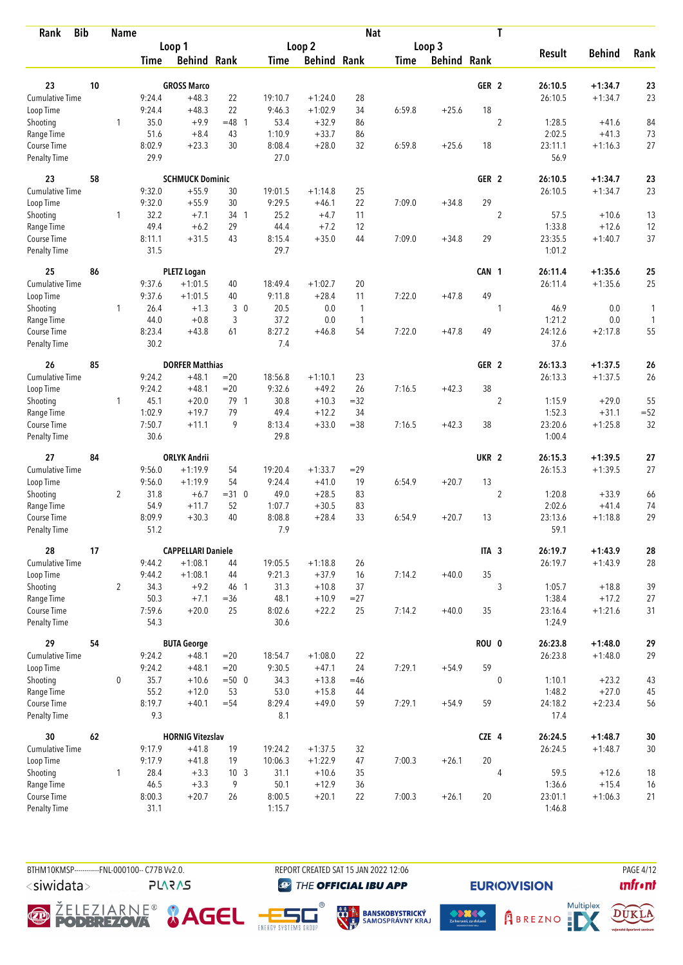| <b>Bib</b><br>Rank                 |    | <b>Name</b>    |                  |                           |                 |                   |                        | <b>Nat</b>   |             |                    |                  | T              |                   |                    |              |
|------------------------------------|----|----------------|------------------|---------------------------|-----------------|-------------------|------------------------|--------------|-------------|--------------------|------------------|----------------|-------------------|--------------------|--------------|
|                                    |    |                |                  | Loop 1                    |                 |                   | Loop 2                 |              |             | Loop 3             |                  |                |                   |                    |              |
|                                    |    |                | <b>Time</b>      | <b>Behind Rank</b>        |                 | <b>Time</b>       | <b>Behind Rank</b>     |              | <b>Time</b> | <b>Behind Rank</b> |                  |                | <b>Result</b>     | <b>Behind</b>      | Rank         |
|                                    |    |                |                  |                           |                 |                   |                        |              |             |                    |                  |                |                   |                    |              |
| 23                                 | 10 |                |                  | <b>GROSS Marco</b>        |                 |                   |                        |              |             |                    | GER <sub>2</sub> |                | 26:10.5           | $+1:34.7$          | 23           |
| Cumulative Time                    |    |                | 9:24.4<br>9:24.4 | $+48.3$<br>$+48.3$        | 22<br>22        | 19:10.7<br>9:46.3 | $+1:24.0$<br>$+1:02.9$ | 28<br>34     |             | $+25.6$            | 18               |                | 26:10.5           | $+1:34.7$          | 23           |
| Loop Time                          |    |                | 35.0             | $+9.9$                    | $=48$ 1         | 53.4              | $+32.9$                |              | 6:59.8      |                    |                  | $\overline{2}$ | 1:28.5            |                    |              |
| Shooting<br>Range Time             |    | 1              | 51.6             | $+8.4$                    | 43              | 1:10.9            | $+33.7$                | 86<br>86     |             |                    |                  |                | 2:02.5            | $+41.6$<br>$+41.3$ | 84<br>73     |
| Course Time                        |    |                | 8:02.9           | $+23.3$                   | 30              | 8:08.4            | $+28.0$                | 32           | 6:59.8      | $+25.6$            | 18               |                | 23:11.1           | $+1:16.3$          | 27           |
| Penalty Time                       |    |                | 29.9             |                           |                 | 27.0              |                        |              |             |                    |                  |                | 56.9              |                    |              |
| 23                                 | 58 |                |                  | <b>SCHMUCK Dominic</b>    |                 |                   |                        |              |             |                    | GER <sub>2</sub> |                | 26:10.5           | $+1:34.7$          | 23           |
| <b>Cumulative Time</b>             |    |                | 9:32.0           | $+55.9$                   | 30              | 19:01.5           | $+1:14.8$              | 25           |             |                    |                  |                | 26:10.5           | $+1:34.7$          | 23           |
| Loop Time                          |    |                | 9:32.0           | $+55.9$                   | 30              | 9:29.5            | $+46.1$                | 22           | 7:09.0      | $+34.8$            | 29               |                |                   |                    |              |
| Shooting                           |    | 1              | 32.2             | $+7.1$                    | 34 1            | 25.2              | $+4.7$                 | 11           |             |                    |                  | $\overline{2}$ | 57.5              | $+10.6$            | 13           |
| Range Time                         |    |                | 49.4             | $+6.2$                    | 29              | 44.4              | $+7.2$                 | 12           |             |                    |                  |                | 1:33.8            | $+12.6$            | 12           |
| Course Time                        |    |                | 8:11.1           | $+31.5$                   | 43              | 8:15.4            | $+35.0$                | 44           | 7:09.0      | $+34.8$            | 29               |                | 23:35.5           | $+1:40.7$          | 37           |
| <b>Penalty Time</b>                |    |                | 31.5             |                           |                 | 29.7              |                        |              |             |                    |                  |                | 1:01.2            |                    |              |
| 25                                 | 86 |                |                  | <b>PLETZ Logan</b>        |                 |                   |                        |              |             |                    | CAN 1            |                | 26:11.4           | $+1:35.6$          | 25           |
| <b>Cumulative Time</b>             |    |                | 9:37.6           | $+1:01.5$                 | 40              | 18:49.4           | $+1:02.7$              | 20           |             |                    |                  |                | 26:11.4           | $+1:35.6$          | 25           |
| Loop Time                          |    |                | 9:37.6           | $+1:01.5$                 | 40              | 9:11.8            | $+28.4$                | 11           | 7:22.0      | $+47.8$            | 49               |                |                   |                    |              |
| Shooting                           |    | 1              | 26.4             | $+1.3$                    | 30              | 20.5              | 0.0                    | $\mathbf{1}$ |             |                    |                  | 1              | 46.9              | 0.0                | $\mathbf{1}$ |
| Range Time                         |    |                | 44.0             | $+0.8$                    | 3               | 37.2              | 0.0                    | $\mathbf{1}$ |             |                    |                  |                | 1:21.2            | 0.0                | 1            |
| Course Time                        |    |                | 8:23.4           | $+43.8$                   | 61              | 8:27.2            | $+46.8$                | 54           | 7:22.0      | $+47.8$            | 49               |                | 24:12.6           | $+2:17.8$          | 55           |
| Penalty Time                       |    |                | 30.2             |                           |                 | 7.4               |                        |              |             |                    |                  |                | 37.6              |                    |              |
| 26                                 | 85 |                |                  | <b>DORFER Matthias</b>    |                 |                   |                        |              |             |                    | GER <sub>2</sub> |                | 26:13.3           | $+1:37.5$          | 26           |
| <b>Cumulative Time</b>             |    |                | 9:24.2           | $+48.1$                   | $=20$           | 18:56.8           | $+1:10.1$              | 23           |             |                    |                  |                | 26:13.3           | $+1:37.5$          | 26           |
| Loop Time                          |    |                | 9:24.2           | $+48.1$                   | $=20$           | 9:32.6            | $+49.2$                | 26           | 7:16.5      | $+42.3$            | 38               |                |                   |                    |              |
| Shooting                           |    | 1              | 45.1             | $+20.0$                   | 79 1            | 30.8              | $+10.3$                | $=32$        |             |                    |                  | 2              | 1:15.9            | $+29.0$            | 55           |
| Range Time                         |    |                | 1:02.9           | $+19.7$                   | 79              | 49.4              | $+12.2$                | 34           |             |                    |                  |                | 1:52.3            | $+31.1$            | $= 52$       |
| Course Time                        |    |                | 7:50.7           | $+11.1$                   | 9               | 8:13.4            | $+33.0$                | $= 38$       | 7:16.5      | $+42.3$            | 38               |                | 23:20.6           | $+1:25.8$          | 32           |
| <b>Penalty Time</b>                |    |                | 30.6             |                           |                 | 29.8              |                        |              |             |                    |                  |                | 1:00.4            |                    |              |
| 27                                 | 84 |                |                  | <b>ORLYK Andrii</b>       |                 |                   |                        |              |             |                    | UKR <sub>2</sub> |                | 26:15.3           | $+1:39.5$          | 27           |
| <b>Cumulative Time</b>             |    |                | 9:56.0           | $+1:19.9$                 | 54              | 19:20.4           | $+1:33.7$              | $=29$        |             |                    |                  |                | 26:15.3           | $+1:39.5$          | 27           |
| Loop Time                          |    |                | 9:56.0           | $+1:19.9$                 | 54              | 9:24.4            | $+41.0$                | 19           | 6:54.9      | $+20.7$            | 13               |                |                   |                    |              |
| Shooting                           |    | $\overline{2}$ | 31.8             | $+6.7$                    | $=310$          | 49.0              | $+28.5$                | 83           |             |                    |                  | $\overline{2}$ | 1:20.8            | $+33.9$            | 66           |
| Range Time                         |    |                | 54.9             | $+11.7$                   | 52              | 1:07.7            | $+30.5$                | 83           |             |                    |                  |                | 2:02.6            | $+41.4$            | 74           |
| Course Time                        |    |                | 8:09.9           | $+30.3$                   | 40              | 8:08.8            | $+28.4$                | 33           | 6:54.9      | $+20.7$            | 13               |                | 23:13.6           | $+1:18.8$          | 29           |
| <b>Penalty Time</b>                |    |                | 51.2             |                           |                 | 7.9               |                        |              |             |                    |                  |                | 59.1              |                    |              |
| 28                                 | 17 |                |                  | <b>CAPPELLARI Daniele</b> |                 |                   |                        |              |             |                    | ITA <sub>3</sub> |                | 26:19.7           | $+1:43.9$          | 28           |
| <b>Cumulative Time</b>             |    |                | 9:44.2           | $+1:08.1$                 | 44              | 19:05.5           | $+1:18.8$              | 26           |             |                    |                  |                | 26:19.7           | $+1:43.9$          | 28           |
| Loop Time                          |    |                | 9:44.2           | $+1:08.1$                 | 44              | 9:21.3            | $+37.9$                | 16           | 7:14.2      | $+40.0$            | 35               |                |                   |                    |              |
| Shooting                           |    | $\overline{2}$ | 34.3             | $+9.2$                    | 46 1            | 31.3              | $+10.8$                | 37           |             |                    |                  | 3              | 1:05.7            | $+18.8$            | 39           |
| Range Time                         |    |                | 50.3             | $+7.1$                    | $= 36$          | 48.1              | $+10.9$                | $= 27$       |             |                    |                  |                | 1:38.4            | $+17.2$            | 27           |
| Course Time<br>Penalty Time        |    |                | 7:59.6<br>54.3   | $+20.0$                   | 25              | 8:02.6<br>30.6    | $+22.2$                | 25           | 7:14.2      | $+40.0$            | 35               |                | 23:16.4<br>1:24.9 | $+1:21.6$          | 31           |
|                                    |    |                |                  |                           |                 |                   |                        |              |             |                    |                  |                |                   |                    |              |
| 29                                 | 54 |                |                  | <b>BUTA George</b>        |                 |                   |                        |              |             |                    | ROU 0            |                | 26:23.8           | $+1:48.0$          | 29           |
| <b>Cumulative Time</b>             |    |                | 9:24.2           | $+48.1$                   | $=20$           | 18:54.7           | $+1:08.0$              | 22           |             |                    |                  |                | 26:23.8           | $+1:48.0$          | 29           |
| Loop Time                          |    |                | 9:24.2           | $+48.1$                   | $=20$           | 9:30.5            | $+47.1$                | 24           | 7:29.1      | $+54.9$            | 59               |                |                   |                    |              |
| Shooting                           |    | 0              | 35.7             | $+10.6$                   | $=500$          | 34.3              | $+13.8$                | $=46$        |             |                    |                  | $\mathbf 0$    | 1:10.1            | $+23.2$            | 43           |
| Range Time                         |    |                | 55.2             | $+12.0$                   | 53              | 53.0              | $+15.8$                | 44           |             |                    |                  |                | 1:48.2            | $+27.0$            | 45           |
| Course Time<br><b>Penalty Time</b> |    |                | 8:19.7<br>9.3    | $+40.1$                   | $= 54$          | 8:29.4<br>8.1     | $+49.0$                | 59           | 7:29.1      | $+54.9$            | 59               |                | 24:18.2<br>17.4   | $+2:23.4$          | 56           |
| 30                                 | 62 |                |                  | <b>HORNIG Vitezslav</b>   |                 |                   |                        |              |             |                    | CZE 4            |                | 26:24.5           | $+1:48.7$          | $30\,$       |
| <b>Cumulative Time</b>             |    |                | 9:17.9           | $+41.8$                   | 19              | 19:24.2           | $+1:37.5$              | 32           |             |                    |                  |                | 26:24.5           | $+1:48.7$          | 30           |
| Loop Time                          |    |                | 9:17.9           | $+41.8$                   | 19              | 10:06.3           | $+1:22.9$              | 47           | 7:00.3      | $+26.1$            | 20               |                |                   |                    |              |
| Shooting                           |    | $\mathbf{1}$   | 28.4             | $+3.3$                    | 10 <sub>3</sub> | 31.1              | $+10.6$                | 35           |             |                    |                  | 4              | 59.5              | $+12.6$            | 18           |
| Range Time                         |    |                | 46.5             | $+3.3$                    | 9               | 50.1              | $+12.9$                | 36           |             |                    |                  |                | 1:36.6            | $+15.4$            | 16           |
| Course Time                        |    |                | 8:00.3           | $+20.7$                   | 26              | 8:00.5            | $+20.1$                | 22           | 7:00.3      | $+26.1$            | 20               |                | 23:01.1           | $+1:06.3$          | 21           |
| <b>Penalty Time</b>                |    |                | 31.1             |                           |                 | 1:15.7            |                        |              |             |                    |                  |                | 1:46.8            |                    |              |

BTHM10KMSP-----------FNL-000100-- C77B Vv2.0. REPORT CREATED SAT 15 JAN 2022 12:06 PAGE 4/12 <siwidata>

**PLARAS** 

**THE OFFICIAL IBU APP** 









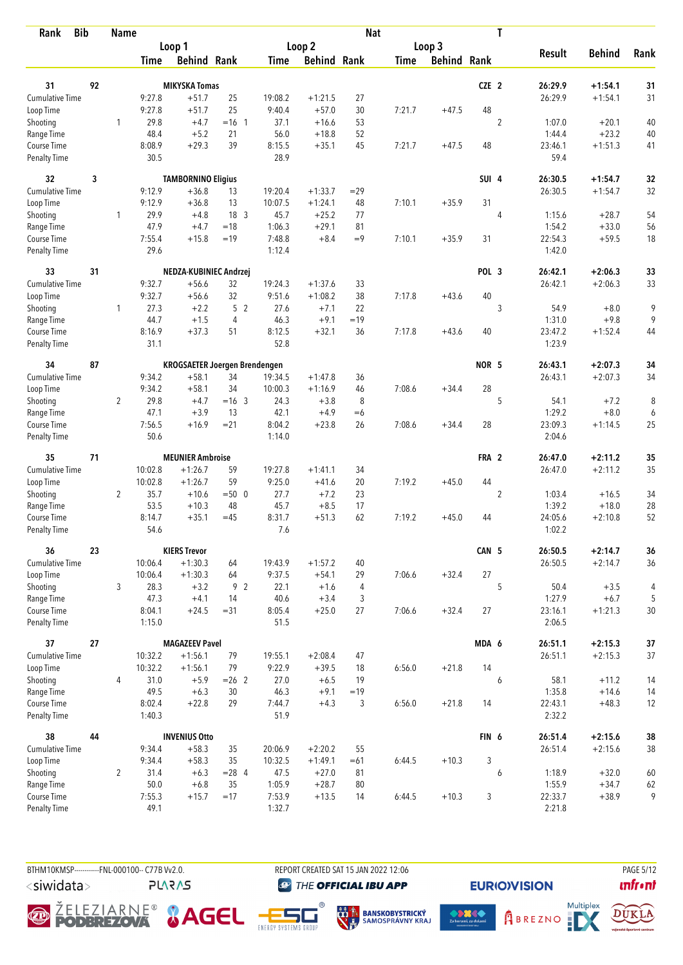| <b>Bib</b><br>Rank          |    | <b>Name</b>    |                  |                                      |                 |                   |                      | <b>Nat</b> |             |                    |                  | T              |                   |               |          |
|-----------------------------|----|----------------|------------------|--------------------------------------|-----------------|-------------------|----------------------|------------|-------------|--------------------|------------------|----------------|-------------------|---------------|----------|
|                             |    |                |                  | Loop 1                               |                 |                   | Loop <sub>2</sub>    |            |             | Loop 3             |                  |                |                   |               |          |
|                             |    |                | <b>Time</b>      | <b>Behind Rank</b>                   |                 | <b>Time</b>       | <b>Behind Rank</b>   |            | <b>Time</b> | <b>Behind Rank</b> |                  |                | <b>Result</b>     | <b>Behind</b> | Rank     |
|                             |    |                |                  |                                      |                 |                   |                      |            |             |                    |                  |                |                   |               |          |
| 31                          | 92 |                |                  | <b>MIKYSKA Tomas</b>                 |                 |                   |                      |            |             |                    | CZE <sub>2</sub> |                | 26:29.9           | $+1:54.1$     | 31       |
| <b>Cumulative Time</b>      |    |                | 9:27.8           | $+51.7$<br>$+51.7$                   | 25<br>25        | 19:08.2<br>9:40.4 | $+1:21.5$<br>$+57.0$ | 27<br>30   |             | $+47.5$            | 48               |                | 26:29.9           | $+1:54.1$     | 31       |
| Loop Time                   |    | 1              | 9:27.8<br>29.8   | $+4.7$                               | $=16$ 1         | 37.1              |                      |            | 7:21.7      |                    |                  | $\overline{2}$ | 1:07.0            | $+20.1$       |          |
| Shooting<br>Range Time      |    |                | 48.4             | $+5.2$                               | 21              | 56.0              | $+16.6$<br>$+18.8$   | 53<br>52   |             |                    |                  |                | 1:44.4            | $+23.2$       | 40<br>40 |
| Course Time                 |    |                | 8:08.9           | $+29.3$                              | 39              | 8:15.5            | $+35.1$              | 45         | 7:21.7      | $+47.5$            | 48               |                | 23:46.1           | $+1:51.3$     | 41       |
| <b>Penalty Time</b>         |    |                | 30.5             |                                      |                 | 28.9              |                      |            |             |                    |                  |                | 59.4              |               |          |
| 32                          | 3  |                |                  | <b>TAMBORNINO Eligius</b>            |                 |                   |                      |            |             |                    | SUI 4            |                | 26:30.5           | $+1:54.7$     | 32       |
| Cumulative Time             |    |                | 9:12.9           | $+36.8$                              | 13              | 19:20.4           | $+1:33.7$            | $=29$      |             |                    |                  |                | 26:30.5           | $+1:54.7$     | 32       |
| Loop Time                   |    |                | 9:12.9           | $+36.8$                              | 13              | 10:07.5           | $+1:24.1$            | 48         | 7:10.1      | $+35.9$            | 31               |                |                   |               |          |
| Shooting                    |    | 1              | 29.9             | $+4.8$                               | 18 <sup>3</sup> | 45.7              | $+25.2$              | 77         |             |                    |                  | $\overline{4}$ | 1:15.6            | $+28.7$       | 54       |
| Range Time                  |    |                | 47.9             | $+4.7$                               | $=18$           | 1:06.3            | $+29.1$              | 81         |             |                    |                  |                | 1:54.2            | $+33.0$       | 56       |
| Course Time                 |    |                | 7:55.4           | $+15.8$                              | $=19$           | 7:48.8            | $+8.4$               | $=9$       | 7:10.1      | $+35.9$            | 31               |                | 22:54.3           | $+59.5$       | 18       |
| <b>Penalty Time</b>         |    |                | 29.6             |                                      |                 | 1:12.4            |                      |            |             |                    |                  |                | 1:42.0            |               |          |
| 33                          | 31 |                |                  | NEDZA-KUBINIEC Andrzej               |                 |                   |                      |            |             |                    | POL <sub>3</sub> |                | 26:42.1           | $+2:06.3$     | 33       |
| Cumulative Time             |    |                | 9:32.7           | $+56.6$                              | 32              | 19:24.3           | $+1:37.6$            | 33         |             |                    |                  |                | 26:42.1           | $+2:06.3$     | 33       |
| Loop Time                   |    |                | 9:32.7           | $+56.6$                              | 32              | 9:51.6            | $+1:08.2$            | 38         | 7:17.8      | $+43.6$            | 40               |                |                   |               |          |
| Shooting                    |    | $\mathbf{1}$   | 27.3             | $+2.2$                               | 5 <sub>2</sub>  | 27.6              | $+7.1$               | 22         |             |                    |                  | 3              | 54.9              | $+8.0$        | 9        |
| Range Time                  |    |                | 44.7             | $+1.5$                               | 4               | 46.3              | $+9.1$               | $=19$      |             |                    |                  |                | 1:31.0            | $+9.8$        | 9        |
| Course Time                 |    |                | 8:16.9           | $+37.3$                              | 51              | 8:12.5            | $+32.1$              | 36         | 7:17.8      | $+43.6$            | 40               |                | 23:47.2           | $+1:52.4$     | 44       |
| <b>Penalty Time</b>         |    |                | 31.1             |                                      |                 | 52.8              |                      |            |             |                    |                  |                | 1:23.9            |               |          |
| 34                          | 87 |                |                  | <b>KROGSAETER Joergen Brendengen</b> |                 |                   |                      |            |             |                    | NOR 5            |                | 26:43.1           | $+2:07.3$     | 34       |
| Cumulative Time             |    |                | 9:34.2           | $+58.1$                              | 34              | 19:34.5           | $+1:47.8$            | 36         |             |                    |                  |                | 26:43.1           | $+2:07.3$     | 34       |
| Loop Time                   |    |                | 9:34.2           | $+58.1$                              | 34              | 10:00.3           | $+1:16.9$            | 46         | 7:08.6      | $+34.4$            | 28               |                |                   |               |          |
| Shooting                    |    | $\overline{2}$ | 29.8             | $+4.7$                               | $=16$ 3         | 24.3              | $+3.8$               | 8          |             |                    |                  | 5              | 54.1              | $+7.2$        | 8        |
| Range Time                  |    |                | 47.1             | $+3.9$                               | 13              | 42.1              | $+4.9$               | $=6$       |             |                    |                  |                | 1:29.2            | $+8.0$        | 6        |
| Course Time                 |    |                | 7:56.5           | $+16.9$                              | $= 21$          | 8:04.2            | $+23.8$              | 26         | 7:08.6      | $+34.4$            | 28               |                | 23:09.3           | $+1:14.5$     | 25       |
| <b>Penalty Time</b>         |    |                | 50.6             |                                      |                 | 1:14.0            |                      |            |             |                    |                  |                | 2:04.6            |               |          |
| 35                          | 71 |                |                  | <b>MEUNIER Ambroise</b>              |                 |                   |                      |            |             |                    | FRA 2            |                | 26:47.0           | $+2:11.2$     | 35       |
| Cumulative Time             |    |                | 10:02.8          | $+1:26.7$                            | 59              | 19:27.8           | $+1:41.1$            | 34         |             |                    |                  |                | 26:47.0           | $+2:11.2$     | 35       |
| Loop Time                   |    |                | 10:02.8          | $+1:26.7$                            | 59              | 9:25.0            | $+41.6$              | 20         | 7:19.2      | $+45.0$            | 44               |                |                   |               |          |
| Shooting                    |    | $\overline{2}$ | 35.7             | $+10.6$                              | $= 500$         | 27.7              | $+7.2$               | 23         |             |                    |                  | $\overline{2}$ | 1:03.4            | $+16.5$       | 34       |
| Range Time                  |    |                | 53.5             | $+10.3$                              | 48              | 45.7              | $+8.5$               | 17         |             |                    |                  |                | 1:39.2            | $+18.0$       | 28       |
| Course Time                 |    |                | 8:14.7           | $+35.1$                              | $=45$           | 8:31.7            | $+51.3$              | 62         | 7:19.2      | $+45.0$            | 44               |                | 24:05.6           | $+2:10.8$     | 52       |
| <b>Penalty Time</b>         |    |                | 54.6             |                                      |                 | 7.6               |                      |            |             |                    |                  |                | 1:02.2            |               |          |
| 36                          | 23 |                |                  | <b>KIERS Trevor</b>                  |                 |                   |                      |            |             |                    | CAN 5            |                | 26:50.5           | $+2:14.7$     | 36       |
| <b>Cumulative Time</b>      |    |                | 10:06.4          | $+1:30.3$                            | 64              | 19:43.9           | $+1:57.2$            | 40         |             |                    |                  |                | 26:50.5           | $+2:14.7$     | 36       |
| Loop Time                   |    |                | 10:06.4          | $+1:30.3$                            | 64              | 9:37.5            | $+54.1$              | 29         | 7:06.6      | $+32.4$            | $27\,$           |                |                   |               |          |
| Shooting                    |    | 3              | 28.3             | $+3.2$                               | 9 2             | 22.1              | $+1.6$               | 4          |             |                    |                  | 5              | 50.4              | $+3.5$        | 4        |
| Range Time                  |    |                | 47.3             | $+4.1$                               | 14              | 40.6              | $+3.4$               | 3          |             |                    |                  |                | 1:27.9            | $+6.7$        | 5        |
| Course Time<br>Penalty Time |    |                | 8:04.1<br>1:15.0 | $+24.5$                              | $= 31$          | 8:05.4<br>51.5    | $+25.0$              | 27         | 7:06.6      | $+32.4$            | 27               |                | 23:16.1<br>2:06.5 | $+1:21.3$     | 30       |
| 37                          | 27 |                |                  | <b>MAGAZEEV Pavel</b>                |                 |                   |                      |            |             |                    | MDA 6            |                | 26:51.1           | $+2:15.3$     | 37       |
| <b>Cumulative Time</b>      |    |                | 10:32.2          | $+1:56.1$                            | 79              | 19:55.1           | $+2:08.4$            | 47         |             |                    |                  |                | 26:51.1           | $+2:15.3$     | 37       |
| Loop Time                   |    |                | 10:32.2          | $+1:56.1$                            | 79              | 9:22.9            | $+39.5$              | 18         | 6:56.0      | $+21.8$            | 14               |                |                   |               |          |
| Shooting                    |    | 4              | 31.0             | $+5.9$                               | $= 26$ 2        | 27.0              | $+6.5$               | 19         |             |                    |                  | 6              | 58.1              | $+11.2$       | 14       |
| Range Time                  |    |                | 49.5             | $+6.3$                               | 30              | 46.3              | $+9.1$               | $=19$      |             |                    |                  |                | 1:35.8            | $+14.6$       | 14       |
| Course Time                 |    |                | 8:02.4           | $+22.8$                              | 29              | 7:44.7            | $+4.3$               | 3          | 6:56.0      | $+21.8$            | 14               |                | 22:43.1           | $+48.3$       | 12       |
| Penalty Time                |    |                | 1:40.3           |                                      |                 | 51.9              |                      |            |             |                    |                  |                | 2:32.2            |               |          |
| 38                          | 44 |                |                  | <b>INVENIUS Otto</b>                 |                 |                   |                      |            |             |                    | FIN <sub>6</sub> |                | 26:51.4           | $+2:15.6$     | 38       |
| Cumulative Time             |    |                | 9:34.4           | $+58.3$                              | 35              | 20:06.9           | $+2:20.2$            | 55         |             |                    |                  |                | 26:51.4           | $+2:15.6$     | 38       |
| Loop Time                   |    |                | 9:34.4           | $+58.3$                              | 35              | 10:32.5           | $+1:49.1$            | $=61$      | 6:44.5      | $+10.3$            | 3                |                |                   |               |          |
| Shooting                    |    | $\overline{2}$ | 31.4             | $+6.3$                               | $= 28$ 4        | 47.5              | $+27.0$              | 81         |             |                    |                  | 6              | 1:18.9            | $+32.0$       | 60       |
| Range Time                  |    |                | 50.0             | $+6.8$                               | 35              | 1:05.9            | $+28.7$              | 80         |             |                    |                  |                | 1:55.9            | $+34.7$       | 62       |
| Course Time                 |    |                | 7:55.3           | $+15.7$                              | $=17$           | 7:53.9            | $+13.5$              | 14         | 6:44.5      | $+10.3$            | 3                |                | 22:33.7           | $+38.9$       | 9        |
| Penalty Time                |    |                | 49.1             |                                      |                 | 1:32.7            |                      |            |             |                    |                  |                | 2:21.8            |               |          |

BTHM10KMSP-----------FNL-000100-- C77B Vv2.0. <siwidata>

**PLARAS** 

REPORT CREATED SAT 15 JAN 2022 12:06 **THE OFFICIAL IBU APP** 

**O ŽELEZIARNE<sup>®</sup> SAGEL FESE**  $^{\circ}$ 





**PAGE 5/12** *<u><u>Infront</u>*</u>

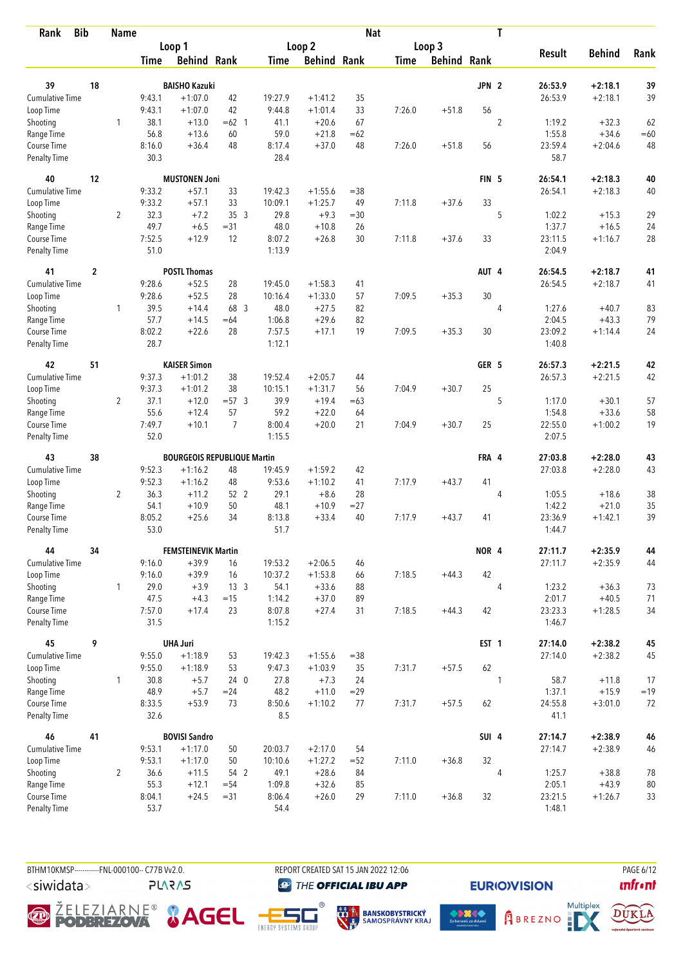| <b>Bib</b><br>Rank     |                | <b>Name</b>    |             |                                    |                 |         |                    | <b>Nat</b> |             |                    |                  | T              |               |               |       |
|------------------------|----------------|----------------|-------------|------------------------------------|-----------------|---------|--------------------|------------|-------------|--------------------|------------------|----------------|---------------|---------------|-------|
|                        |                |                |             | Loop 1                             |                 |         | Loop 2             |            |             | Loop 3             |                  |                |               |               |       |
|                        |                |                | <b>Time</b> | <b>Behind Rank</b>                 |                 | Time    | <b>Behind Rank</b> |            | <b>Time</b> | <b>Behind Rank</b> |                  |                | <b>Result</b> | <b>Behind</b> | Rank  |
| 39                     | 18             |                |             | <b>BAISHO Kazuki</b>               |                 |         |                    |            |             |                    | JPN <sub>2</sub> |                | 26:53.9       | $+2:18.1$     | 39    |
| Cumulative Time        |                |                | 9:43.1      | $+1:07.0$                          | 42              | 19:27.9 | $+1:41.2$          | 35         |             |                    |                  |                | 26:53.9       | $+2:18.1$     | 39    |
|                        |                |                | 9:43.1      | $+1:07.0$                          | 42              | 9:44.8  | $+1:01.4$          | 33         | 7:26.0      | $+51.8$            | 56               |                |               |               |       |
| Loop Time<br>Shooting  |                | 1              | 38.1        | $+13.0$                            | $=62$ 1         | 41.1    | $+20.6$            | 67         |             |                    |                  | $\overline{2}$ | 1:19.2        | $+32.3$       | 62    |
| Range Time             |                |                | 56.8        | $+13.6$                            | 60              | 59.0    | $+21.8$            | $=62$      |             |                    |                  |                | 1:55.8        | $+34.6$       | $=60$ |
| Course Time            |                |                | 8:16.0      | $+36.4$                            | 48              | 8:17.4  | $+37.0$            | 48         | 7:26.0      | $+51.8$            | 56               |                | 23:59.4       | $+2:04.6$     | 48    |
| Penalty Time           |                |                | 30.3        |                                    |                 | 28.4    |                    |            |             |                    |                  |                | 58.7          |               |       |
| 40                     | 12             |                |             | <b>MUSTONEN Joni</b>               |                 |         |                    |            |             |                    | FIN <sub>5</sub> |                | 26:54.1       | $+2:18.3$     | 40    |
| <b>Cumulative Time</b> |                |                | 9:33.2      | $+57.1$                            | 33              | 19:42.3 | $+1:55.6$          | $= 38$     |             |                    |                  |                | 26:54.1       | $+2:18.3$     | 40    |
| Loop Time              |                |                | 9:33.2      | $+57.1$                            | 33              | 10:09.1 | $+1:25.7$          | 49         | 7:11.8      | $+37.6$            | 33               |                |               |               |       |
| Shooting               |                | $\overline{2}$ | 32.3        | $+7.2$                             | 353             | 29.8    | $+9.3$             | $=30$      |             |                    |                  | 5              | 1:02.2        | $+15.3$       | 29    |
| Range Time             |                |                | 49.7        | $+6.5$                             | $= 31$          | 48.0    | $+10.8$            | 26         |             |                    |                  |                | 1:37.7        | $+16.5$       | 24    |
| Course Time            |                |                | 7:52.5      | $+12.9$                            | 12              | 8:07.2  | $+26.8$            | 30         | 7:11.8      | $+37.6$            | 33               |                | 23:11.5       | $+1:16.7$     | 28    |
| <b>Penalty Time</b>    |                |                | 51.0        |                                    |                 | 1:13.9  |                    |            |             |                    |                  |                | 2:04.9        |               |       |
| 41                     | $\overline{2}$ |                |             | <b>POSTL Thomas</b>                |                 |         |                    |            |             |                    | AUT 4            |                | 26:54.5       | $+2:18.7$     | 41    |
| <b>Cumulative Time</b> |                |                | 9:28.6      | $+52.5$                            | 28              | 19:45.0 | $+1:58.3$          | 41         |             |                    |                  |                | 26:54.5       | $+2:18.7$     | 41    |
| Loop Time              |                |                | 9:28.6      | $+52.5$                            | 28              | 10:16.4 | $+1:33.0$          | 57         | 7:09.5      | $+35.3$            | 30               |                |               |               |       |
| Shooting               |                | 1              | 39.5        | $+14.4$                            | 68 3            | 48.0    | $+27.5$            | 82         |             |                    |                  | 4              | 1:27.6        | $+40.7$       | 83    |
| Range Time             |                |                | 57.7        | $+14.5$                            | $=64$           | 1:06.8  | $+29.6$            | 82         |             |                    |                  |                | 2:04.5        | $+43.3$       | 79    |
| Course Time            |                |                | 8:02.2      | $+22.6$                            | 28              | 7:57.5  | $+17.1$            | 19         | 7:09.5      | $+35.3$            | 30               |                | 23:09.2       | $+1:14.4$     | 24    |
| <b>Penalty Time</b>    |                |                | 28.7        |                                    |                 | 1:12.1  |                    |            |             |                    |                  |                | 1:40.8        |               |       |
| 42                     | 51             |                |             | <b>KAISER Simon</b>                |                 |         |                    |            |             |                    | GER 5            |                | 26:57.3       | $+2:21.5$     | 42    |
| Cumulative Time        |                |                | 9:37.3      | $+1:01.2$                          | 38              | 19:52.4 | $+2:05.7$          | 44         |             |                    |                  |                | 26:57.3       | $+2:21.5$     | 42    |
| Loop Time              |                |                | 9:37.3      | $+1:01.2$                          | 38              | 10:15.1 | $+1:31.7$          | 56         | 7:04.9      | $+30.7$            | 25               |                |               |               |       |
| Shooting               |                | $\overline{2}$ | 37.1        | $+12.0$                            | $=57.3$         | 39.9    | $+19.4$            | $=63$      |             |                    |                  | 5              | 1:17.0        | $+30.1$       | 57    |
| Range Time             |                |                | 55.6        | $+12.4$                            | 57              | 59.2    | $+22.0$            | 64         |             |                    |                  |                | 1:54.8        | $+33.6$       | 58    |
| Course Time            |                |                | 7:49.7      | $+10.1$                            | $\overline{7}$  | 8:00.4  | $+20.0$            | 21         | 7:04.9      | $+30.7$            | 25               |                | 22:55.0       | $+1:00.2$     | 19    |
| <b>Penalty Time</b>    |                |                | 52.0        |                                    |                 | 1:15.5  |                    |            |             |                    |                  |                | 2:07.5        |               |       |
| 43                     | 38             |                |             | <b>BOURGEOIS REPUBLIQUE Martin</b> |                 |         |                    |            |             |                    | FRA 4            |                | 27:03.8       | $+2:28.0$     | 43    |
| <b>Cumulative Time</b> |                |                | 9:52.3      | $+1:16.2$                          | 48              | 19:45.9 | $+1:59.2$          | 42         |             |                    |                  |                | 27:03.8       | $+2:28.0$     | 43    |
| Loop Time              |                |                | 9:52.3      | $+1:16.2$                          | 48              | 9:53.6  | $+1:10.2$          | 41         | 7:17.9      | $+43.7$            | 41               |                |               |               |       |
| Shooting               |                | $\overline{2}$ | 36.3        | $+11.2$                            | 52 2            | 29.1    | $+8.6$             | 28         |             |                    |                  | 4              | 1:05.5        | $+18.6$       | 38    |
| Range Time             |                |                | 54.1        | $+10.9$                            | 50              | 48.1    | $+10.9$            | $= 27$     |             |                    |                  |                | 1:42.2        | $+21.0$       | 35    |
| Course Time            |                |                | 8:05.2      | $+25.6$                            | 34              | 8:13.8  | $+33.4$            | 40         | 7:17.9      | $+43.7$            | 41               |                | 23:36.9       | $+1:42.1$     | 39    |
| <b>Penalty Time</b>    |                |                | 53.0        |                                    |                 | 51.7    |                    |            |             |                    |                  |                | 1:44.7        |               |       |
| 44                     | 34             |                |             | <b>FEMSTEINEVIK Martin</b>         |                 |         |                    |            |             |                    | NOR 4            |                | 27:11.7       | $+2:35.9$     | 44    |
| <b>Cumulative Time</b> |                |                | 9:16.0      | $+39.9$                            | 16              | 19:53.2 | $+2:06.5$          | 46         |             |                    |                  |                | 27:11.7       | $+2:35.9$     | 44    |
| Loop Time              |                |                | 9:16.0      | $+39.9$                            | 16              | 10:37.2 | $+1:53.8$          | 66         | 7:18.5      | $+44.3$            | 42               |                |               |               |       |
| Shooting               |                | $\mathbf{1}$   | 29.0        | $+3.9$                             | 13 <sup>3</sup> | 54.1    | $+33.6$            | 88         |             |                    |                  | $\overline{4}$ | 1:23.2        | $+36.3$       | 73    |
| Range Time             |                |                | 47.5        | $+4.3$                             | $=15$           | 1:14.2  | $+37.0$            | 89         |             |                    |                  |                | 2:01.7        | $+40.5$       | 71    |
| Course Time            |                |                | 7:57.0      | $+17.4$                            | 23              | 8:07.8  | $+27.4$            | 31         | 7:18.5      | $+44.3$            | 42               |                | 23:23.3       | $+1:28.5$     | 34    |
| <b>Penalty Time</b>    |                |                | 31.5        |                                    |                 | 1:15.2  |                    |            |             |                    |                  |                | 1:46.7        |               |       |
| 45                     | 9              |                |             | <b>UHA Juri</b>                    |                 |         |                    |            |             |                    | EST <sub>1</sub> |                | 27:14.0       | $+2:38.2$     | 45    |
| Cumulative Time        |                |                | 9:55.0      | $+1:18.9$                          | 53              | 19:42.3 | $+1:55.6$          | $= 38$     |             |                    |                  |                | 27:14.0       | $+2:38.2$     | 45    |
| Loop Time              |                |                | 9:55.0      | $+1:18.9$                          | 53              | 9:47.3  | $+1:03.9$          | 35         | 7:31.7      | $+57.5$            | 62               |                |               |               |       |
| Shooting               |                | $\mathbf{1}$   | 30.8        | $+5.7$                             | 240             | 27.8    | $+7.3$             | 24         |             |                    |                  | 1              | 58.7          | $+11.8$       | 17    |
| Range Time             |                |                | 48.9        | $+5.7$                             | $= 24$          | 48.2    | $+11.0$            | $=29$      |             |                    |                  |                | 1:37.1        | $+15.9$       | $=19$ |
| Course Time            |                |                | 8:33.5      | $+53.9$                            | 73              | 8:50.6  | $+1:10.2$          | 77         | 7:31.7      | $+57.5$            | 62               |                | 24:55.8       | $+3:01.0$     | 72    |
| Penalty Time           |                |                | 32.6        |                                    |                 | 8.5     |                    |            |             |                    |                  |                | 41.1          |               |       |
| 46                     | 41             |                |             | <b>BOVISI Sandro</b>               |                 |         |                    |            |             |                    | SUI 4            |                | 27:14.7       | $+2:38.9$     | 46    |
| <b>Cumulative Time</b> |                |                | 9:53.1      | $+1:17.0$                          | 50              | 20:03.7 | $+2:17.0$          | 54         |             |                    |                  |                | 27:14.7       | $+2:38.9$     | 46    |
| Loop Time              |                |                | 9:53.1      | $+1:17.0$                          | 50              | 10:10.6 | $+1:27.2$          | $= 52$     | 7:11.0      | $+36.8$            | 32               |                |               |               |       |
| Shooting               |                | $\overline{2}$ | 36.6        | $+11.5$                            | 54 2            | 49.1    | $+28.6$            | 84         |             |                    |                  | 4              | 1:25.7        | $+38.8$       | 78    |
| Range Time             |                |                | 55.3        | $+12.1$                            | $= 54$          | 1:09.8  | $+32.6$            | 85         |             |                    |                  |                | 2:05.1        | $+43.9$       | 80    |
| Course Time            |                |                | 8:04.1      | $+24.5$                            | $= 31$          | 8:06.4  | $+26.0$            | 29         | 7:11.0      | $+36.8$            | 32               |                | 23:21.5       | $+1:26.7$     | 33    |
| <b>Penalty Time</b>    |                |                | 53.7        |                                    |                 | 54.4    |                    |            |             |                    |                  |                | 1:48.1        |               |       |

BTHM10KMSP-----------FNL-000100-- C77B Vv2.0. REPORT CREATED SAT 15 JAN 2022 12:06 PAGE 6/12 <siwidata>

**PLARAS** 

**THE OFFICIAL IBU APP** 













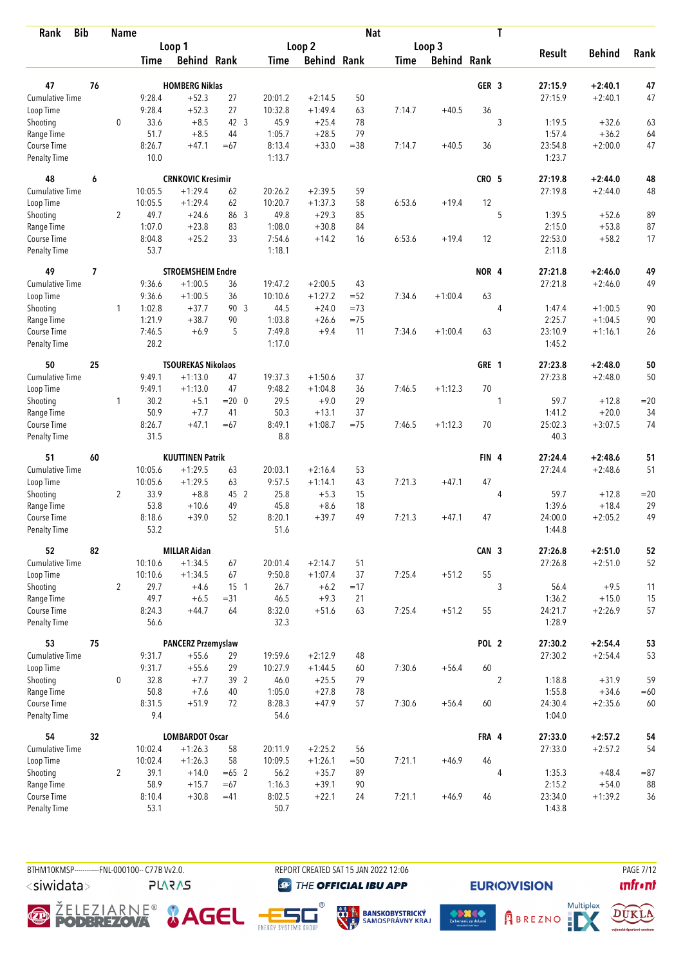| <b>Bib</b><br>Rank          |    | <b>Name</b>    |                |                           |            |                 |                      | <b>Nat</b> |             |                    |                  | T              |                   |               |          |
|-----------------------------|----|----------------|----------------|---------------------------|------------|-----------------|----------------------|------------|-------------|--------------------|------------------|----------------|-------------------|---------------|----------|
|                             |    |                |                | Loop 1                    |            |                 | Loop 2               |            |             | Loop 3             |                  |                |                   |               |          |
|                             |    |                | <b>Time</b>    | <b>Behind Rank</b>        |            | <b>Time</b>     | <b>Behind Rank</b>   |            | <b>Time</b> | <b>Behind Rank</b> |                  |                | <b>Result</b>     | <b>Behind</b> | Rank     |
|                             |    |                |                |                           |            |                 |                      |            |             |                    |                  |                |                   |               |          |
| 47                          | 76 |                |                | <b>HOMBERG Niklas</b>     |            |                 |                      |            |             |                    | GER <sub>3</sub> |                | 27:15.9           | $+2:40.1$     | 47       |
| <b>Cumulative Time</b>      |    |                | 9:28.4         | $+52.3$                   | 27         | 20:01.2         | $+2:14.5$            | 50         |             |                    | 36               |                | 27:15.9           | $+2:40.1$     | 47       |
| Loop Time                   |    |                | 9:28.4<br>33.6 | $+52.3$<br>$+8.5$         | 27<br>42 3 | 10:32.8<br>45.9 | $+1:49.4$<br>$+25.4$ | 63<br>78   | 7:14.7      | $+40.5$            |                  | 3              | 1:19.5            | $+32.6$       |          |
| Shooting<br>Range Time      |    | 0              | 51.7           | $+8.5$                    | 44         | 1:05.7          | $+28.5$              | 79         |             |                    |                  |                | 1:57.4            | $+36.2$       | 63<br>64 |
| Course Time                 |    |                | 8:26.7         | $+47.1$                   | $=67$      | 8:13.4          | $+33.0$              | $= 38$     | 7:14.7      | $+40.5$            | 36               |                | 23:54.8           | $+2:00.0$     | 47       |
| <b>Penalty Time</b>         |    |                | 10.0           |                           |            | 1:13.7          |                      |            |             |                    |                  |                | 1:23.7            |               |          |
| 48                          | 6  |                |                | <b>CRNKOVIC Kresimir</b>  |            |                 |                      |            |             |                    | CRO <sub>5</sub> |                | 27:19.8           | $+2:44.0$     | 48       |
| <b>Cumulative Time</b>      |    |                | 10:05.5        | $+1:29.4$                 | 62         | 20:26.2         | $+2:39.5$            | 59         |             |                    |                  |                | 27:19.8           | $+2:44.0$     | 48       |
| Loop Time                   |    |                | 10:05.5        | $+1:29.4$                 | 62         | 10:20.7         | $+1:37.3$            | 58         | 6:53.6      | $+19.4$            | 12               |                |                   |               |          |
| Shooting                    |    | $\overline{2}$ | 49.7           | $+24.6$                   | 86 3       | 49.8            | $+29.3$              | 85         |             |                    |                  | 5              | 1:39.5            | $+52.6$       | 89       |
| Range Time                  |    |                | 1:07.0         | $+23.8$                   | 83         | 1:08.0          | $+30.8$              | 84         |             |                    |                  |                | 2:15.0            | $+53.8$       | 87       |
| Course Time                 |    |                | 8:04.8         | $+25.2$                   | 33         | 7:54.6          | $+14.2$              | 16         | 6:53.6      | $+19.4$            | 12               |                | 22:53.0           | $+58.2$       | 17       |
| Penalty Time                |    |                | 53.7           |                           |            | 1:18.1          |                      |            |             |                    |                  |                | 2:11.8            |               |          |
| 49                          | 7  |                |                | <b>STROEMSHEIM Endre</b>  |            |                 |                      |            |             |                    | NOR <sub>4</sub> |                | 27:21.8           | $+2:46.0$     | 49       |
| Cumulative Time             |    |                | 9:36.6         | $+1:00.5$                 | 36         | 19:47.2         | $+2:00.5$            | 43         |             |                    |                  |                | 27:21.8           | $+2:46.0$     | 49       |
| Loop Time                   |    |                | 9:36.6         | $+1:00.5$                 | 36         | 10:10.6         | $+1:27.2$            | $= 52$     | 7:34.6      | $+1:00.4$          | 63               |                |                   |               |          |
| Shooting                    |    | 1              | 1:02.8         | $+37.7$                   | 90 3       | 44.5            | $+24.0$              | $=73$      |             |                    |                  | 4              | 1:47.4            | $+1:00.5$     | 90       |
| Range Time                  |    |                | 1:21.9         | $+38.7$                   | 90         | 1:03.8          | $+26.6$              | $= 75$     |             |                    |                  |                | 2:25.7            | $+1:04.5$     | 90       |
| Course Time                 |    |                | 7:46.5         | $+6.9$                    | 5          | 7:49.8          | $+9.4$               | 11         | 7:34.6      | $+1:00.4$          | 63               |                | 23:10.9           | $+1:16.1$     | 26       |
| Penalty Time                |    |                | 28.2           |                           |            | 1:17.0          |                      |            |             |                    |                  |                | 1:45.2            |               |          |
| 50                          | 25 |                |                | <b>TSOUREKAS Nikolaos</b> |            |                 |                      |            |             |                    | GRE 1            |                | 27:23.8           | $+2:48.0$     | 50       |
| Cumulative Time             |    |                | 9:49.1         | $+1:13.0$                 | 47         | 19:37.3         | $+1:50.6$            | 37         |             |                    |                  |                | 27:23.8           | $+2:48.0$     | 50       |
| Loop Time                   |    |                | 9:49.1         | $+1:13.0$                 | 47         | 9:48.2          | $+1:04.8$            | 36         | 7:46.5      | $+1:12.3$          | 70               |                |                   |               |          |
| Shooting                    |    | $\mathbf{1}$   | 30.2           | $+5.1$                    | $= 20 \ 0$ | 29.5            | $+9.0$               | 29         |             |                    |                  | 1              | 59.7              | $+12.8$       | $=20$    |
| Range Time                  |    |                | 50.9           | $+7.7$                    | 41         | 50.3            | $+13.1$              | 37         |             |                    |                  |                | 1:41.2            | $+20.0$       | 34       |
| Course Time                 |    |                | 8:26.7         | $+47.1$                   | $=67$      | 8:49.1          | $+1:08.7$            | $=75$      | 7:46.5      | $+1:12.3$          | 70               |                | 25:02.3           | $+3:07.5$     | 74       |
| <b>Penalty Time</b>         |    |                | 31.5           |                           |            | 8.8             |                      |            |             |                    |                  |                | 40.3              |               |          |
| 51                          | 60 |                |                | <b>KUUTTINEN Patrik</b>   |            |                 |                      |            |             |                    | FIN <sub>4</sub> |                | 27:24.4           | $+2:48.6$     | 51       |
| <b>Cumulative Time</b>      |    |                | 10:05.6        | $+1:29.5$                 | 63         | 20:03.1         | $+2:16.4$            | 53         |             |                    |                  |                | 27:24.4           | $+2:48.6$     | 51       |
| Loop Time                   |    |                | 10:05.6        | $+1:29.5$                 | 63         | 9:57.5          | $+1:14.1$            | 43         | 7:21.3      | $+47.1$            | 47               |                |                   |               |          |
| Shooting                    |    | $\overline{2}$ | 33.9           | $+8.8$                    | 45 2       | 25.8            | $+5.3$               | 15         |             |                    |                  | $\overline{4}$ | 59.7              | $+12.8$       | $=20$    |
| Range Time                  |    |                | 53.8           | $+10.6$                   | 49         | 45.8            | $+8.6$               | 18         |             |                    |                  |                | 1:39.6            | $+18.4$       | 29       |
| Course Time                 |    |                | 8:18.6         | $+39.0$                   | 52         | 8:20.1          | $+39.7$              | 49         | 7:21.3      | $+47.1$            | 47               |                | 24:00.0           | $+2:05.2$     | 49       |
| <b>Penalty Time</b>         |    |                | 53.2           |                           |            | 51.6            |                      |            |             |                    |                  |                | 1:44.8            |               |          |
| 52                          | 82 |                |                | <b>MILLAR Aidan</b>       |            |                 |                      |            |             |                    | CAN 3            |                | 27:26.8           | $+2:51.0$     | 52       |
| <b>Cumulative Time</b>      |    |                | 10:10.6        | $+1:34.5$                 | 67         | 20:01.4         | $+2:14.7$            | 51         |             |                    |                  |                | 27:26.8           | $+2:51.0$     | 52       |
| Loop Time                   |    |                | 10:10.6        | $+1:34.5$                 | 67         | 9:50.8          | $+1:07.4$            | 37         | 7:25.4      | $+51.2$            | 55               |                |                   |               |          |
| Shooting                    |    | $\overline{2}$ | 29.7           | $+4.6$                    | $15-1$     | 26.7            | $+6.2$               | $=17$      |             |                    |                  | 3              | 56.4              | $+9.5$        | 11       |
| Range Time                  |    |                | 49.7           | $+6.5$                    | $= 31$     | 46.5            | $+9.3$               | 21         |             |                    |                  |                | 1:36.2            | $+15.0$       | 15       |
| Course Time<br>Penalty Time |    |                | 8:24.3<br>56.6 | $+44.7$                   | 64         | 8:32.0<br>32.3  | $+51.6$              | 63         | 7:25.4      | $+51.2$            | 55               |                | 24:21.7<br>1:28.9 | $+2:26.9$     | 57       |
| 53                          | 75 |                |                | <b>PANCERZ Przemyslaw</b> |            |                 |                      |            |             |                    | POL <sub>2</sub> |                | 27:30.2           | $+2:54.4$     | 53       |
| <b>Cumulative Time</b>      |    |                | 9:31.7         | $+55.6$                   | 29         | 19:59.6         | $+2:12.9$            | 48         |             |                    |                  |                | 27:30.2           | $+2:54.4$     | 53       |
| Loop Time                   |    |                | 9:31.7         | $+55.6$                   | 29         | 10:27.9         | $+1:44.5$            | 60         | 7:30.6      | $+56.4$            | 60               |                |                   |               |          |
| Shooting                    |    | 0              | 32.8           | $+7.7$                    | 39 2       | 46.0            | $+25.5$              | 79         |             |                    |                  | $\overline{2}$ | 1:18.8            | $+31.9$       | 59       |
| Range Time                  |    |                | 50.8           | $+7.6$                    | 40         | 1:05.0          | $+27.8$              | 78         |             |                    |                  |                | 1:55.8            | $+34.6$       | $=60$    |
| Course Time                 |    |                | 8:31.5         | $+51.9$                   | 72         | 8:28.3          | $+47.9$              | 57         | 7:30.6      | $+56.4$            | 60               |                | 24:30.4           | $+2:35.6$     | 60       |
| Penalty Time                |    |                | 9.4            |                           |            | 54.6            |                      |            |             |                    |                  |                | 1:04.0            |               |          |
| 54                          | 32 |                |                | <b>LOMBARDOT Oscar</b>    |            |                 |                      |            |             |                    | FRA 4            |                | 27:33.0           | $+2:57.2$     | 54       |
| <b>Cumulative Time</b>      |    |                | 10:02.4        | $+1:26.3$                 | 58         | 20:11.9         | $+2:25.2$            | 56         |             |                    |                  |                | 27:33.0           | $+2:57.2$     | 54       |
| Loop Time                   |    |                | 10:02.4        | $+1:26.3$                 | 58         | 10:09.5         | $+1:26.1$            | $=50$      | 7:21.1      | $+46.9$            | 46               |                |                   |               |          |
| Shooting                    |    | $\overline{2}$ | 39.1           | $+14.0$                   | $=65$ 2    | 56.2            | $+35.7$              | 89         |             |                    |                  | 4              | 1:35.3            | $+48.4$       | $= 87$   |
| Range Time                  |    |                | 58.9           | $+15.7$                   | $=67$      | 1:16.3          | $+39.1$              | 90         |             |                    |                  |                | 2:15.2            | $+54.0$       | 88       |
| Course Time                 |    |                | 8:10.4         | $+30.8$                   | $=41$      | 8:02.5          | $+22.1$              | 24         | 7:21.1      | $+46.9$            | 46               |                | 23:34.0           | $+1:39.2$     | 36       |
| Penalty Time                |    |                | 53.1           |                           |            | 50.7            |                      |            |             |                    |                  |                | 1:43.8            |               |          |

BTHM10KMSP-----------FNL-000100-- C77B Vv2.0. REPORT CREATED SAT 15 JAN 2022 12:06 PAGE 7/12 <siwidata>

**PLARAS** 

**THE OFFICIAL IBU APP** 

**O ŽELEZIARNE<sup>®</sup> & AGEL**  $^{\circ}$ 







DUKLA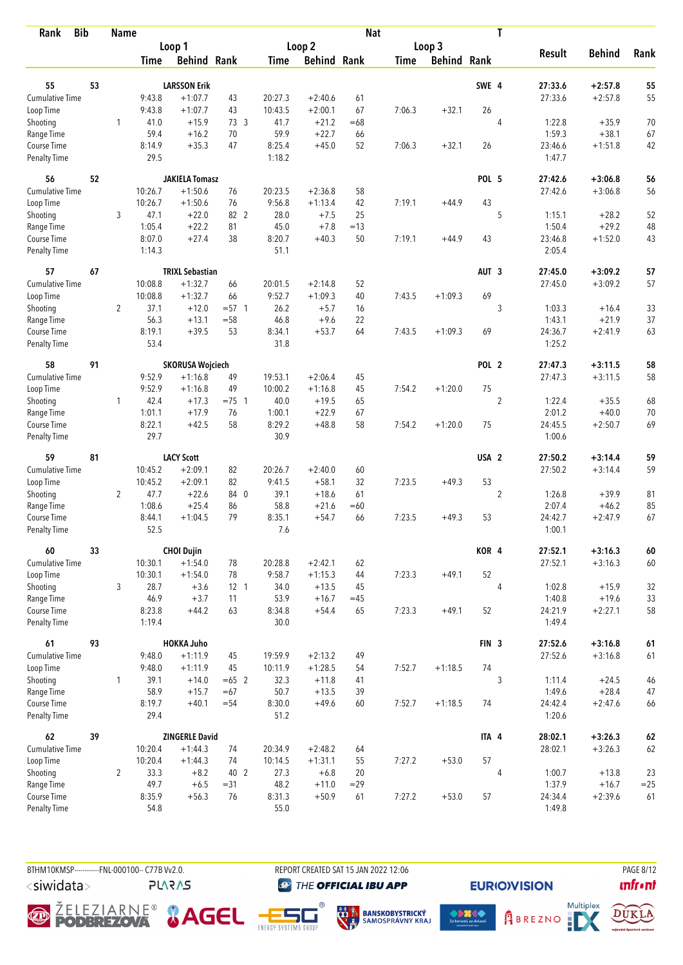| <b>Bib</b><br>Rank          |    | <b>Name</b>    |                  |                         |                 |                    |                        | <b>Nat</b>  |             |                    |                  | T              |                   |               |          |
|-----------------------------|----|----------------|------------------|-------------------------|-----------------|--------------------|------------------------|-------------|-------------|--------------------|------------------|----------------|-------------------|---------------|----------|
|                             |    |                |                  | Loop 1                  |                 |                    | Loop 2                 |             |             | Loop 3             |                  |                |                   |               |          |
|                             |    |                | Time             | <b>Behind Rank</b>      |                 | Time               | <b>Behind Rank</b>     |             | <b>Time</b> | <b>Behind Rank</b> |                  |                | <b>Result</b>     | <b>Behind</b> | Rank     |
|                             |    |                |                  |                         |                 |                    |                        |             |             |                    |                  |                |                   |               |          |
| 55                          | 53 |                |                  | <b>LARSSON Erik</b>     |                 |                    |                        |             |             |                    | SWE 4            |                | 27:33.6           | $+2:57.8$     | 55       |
| Cumulative Time             |    |                | 9:43.8<br>9:43.8 | $+1:07.7$<br>$+1:07.7$  | 43<br>43        | 20:27.3<br>10:43.5 | $+2:40.6$<br>$+2:00.1$ | 61<br>67    |             | $+32.1$            | 26               |                | 27:33.6           | $+2:57.8$     | 55       |
| Loop Time                   |    |                | 41.0             | $+15.9$                 | 73 3            | 41.7               | $+21.2$                |             | 7:06.3      |                    |                  |                | 1:22.8            | $+35.9$       |          |
| Shooting<br>Range Time      |    | 1              | 59.4             | $+16.2$                 | 70              | 59.9               | $+22.7$                | $=68$<br>66 |             |                    |                  | $\overline{4}$ | 1:59.3            | $+38.1$       | 70<br>67 |
| Course Time                 |    |                | 8:14.9           | $+35.3$                 | 47              | 8:25.4             | $+45.0$                | 52          | 7:06.3      | $+32.1$            | 26               |                | 23:46.6           | $+1:51.8$     | 42       |
| <b>Penalty Time</b>         |    |                | 29.5             |                         |                 | 1:18.2             |                        |             |             |                    |                  |                | 1:47.7            |               |          |
| 56                          | 52 |                |                  | <b>JAKIELA Tomasz</b>   |                 |                    |                        |             |             |                    | <b>POL 5</b>     |                | 27:42.6           | $+3:06.8$     | 56       |
| <b>Cumulative Time</b>      |    |                | 10:26.7          | $+1:50.6$               | 76              | 20:23.5            | $+2:36.8$              | 58          |             |                    |                  |                | 27:42.6           | $+3:06.8$     | 56       |
| Loop Time                   |    |                | 10:26.7          | $+1:50.6$               | 76              | 9:56.8             | $+1:13.4$              | 42          | 7:19.1      | $+44.9$            | 43               |                |                   |               |          |
| Shooting                    |    | 3              | 47.1             | $+22.0$                 | 82 2            | 28.0               | $+7.5$                 | 25          |             |                    |                  | 5              | 1:15.1            | $+28.2$       | 52       |
| Range Time                  |    |                | 1:05.4           | $+22.2$                 | 81              | 45.0               | $+7.8$                 | $=13$       |             |                    |                  |                | 1:50.4            | $+29.2$       | 48       |
| Course Time                 |    |                | 8:07.0           | $+27.4$                 | 38              | 8:20.7             | $+40.3$                | 50          | 7:19.1      | $+44.9$            | 43               |                | 23:46.8           | $+1:52.0$     | 43       |
| Penalty Time                |    |                | 1:14.3           |                         |                 | 51.1               |                        |             |             |                    |                  |                | 2:05.4            |               |          |
| 57                          | 67 |                |                  | <b>TRIXL Sebastian</b>  |                 |                    |                        |             |             |                    | AUT <sub>3</sub> |                | 27:45.0           | $+3:09.2$     | 57       |
| <b>Cumulative Time</b>      |    |                | 10:08.8          | $+1:32.7$               | 66              | 20:01.5            | $+2:14.8$              | 52          |             |                    |                  |                | 27:45.0           | $+3:09.2$     | 57       |
| Loop Time                   |    |                | 10:08.8          | $+1:32.7$               | 66              | 9:52.7             | $+1:09.3$              | 40          | 7:43.5      | $+1:09.3$          | 69               |                |                   |               |          |
| Shooting                    |    | $\overline{2}$ | 37.1             | $+12.0$                 | $= 57$ 1        | 26.2               | $+5.7$                 | 16          |             |                    |                  | 3              | 1:03.3            | $+16.4$       | 33       |
| Range Time                  |    |                | 56.3             | $+13.1$                 | $= 58$          | 46.8               | $+9.6$                 | 22          |             |                    |                  |                | 1:43.1            | $+21.9$       | 37       |
| Course Time                 |    |                | 8:19.1           | $+39.5$                 | 53              | 8:34.1             | $+53.7$                | 64          | 7:43.5      | $+1:09.3$          | 69               |                | 24:36.7           | $+2:41.9$     | 63       |
| <b>Penalty Time</b>         |    |                | 53.4             |                         |                 | 31.8               |                        |             |             |                    |                  |                | 1:25.2            |               |          |
| 58                          | 91 |                |                  | <b>SKORUSA Wojciech</b> |                 |                    |                        |             |             |                    | POL <sub>2</sub> |                | 27:47.3           | $+3:11.5$     | 58       |
| Cumulative Time             |    |                | 9:52.9           | $+1:16.8$               | 49              | 19:53.1            | $+2:06.4$              | 45          |             |                    |                  |                | 27:47.3           | $+3:11.5$     | 58       |
| Loop Time                   |    |                | 9:52.9           | $+1:16.8$               | 49              | 10:00.2            | $+1:16.8$              | 45          | 7:54.2      | $+1:20.0$          | 75               |                |                   |               |          |
| Shooting                    |    | $\mathbf{1}$   | 42.4             | $+17.3$                 | $=75$ 1         | 40.0               | $+19.5$                | 65          |             |                    |                  | $\overline{2}$ | 1:22.4            | $+35.5$       | 68       |
| Range Time                  |    |                | 1:01.1           | $+17.9$                 | 76              | 1:00.1             | $+22.9$                | 67          |             |                    |                  |                | 2:01.2            | $+40.0$       | 70       |
| Course Time                 |    |                | 8:22.1           | $+42.5$                 | 58              | 8:29.2             | $+48.8$                | 58          | 7:54.2      | $+1:20.0$          | 75               |                | 24:45.5           | $+2:50.7$     | 69       |
| <b>Penalty Time</b>         |    |                | 29.7             |                         |                 | 30.9               |                        |             |             |                    |                  |                | 1:00.6            |               |          |
| 59                          | 81 |                |                  | <b>LACY Scott</b>       |                 |                    |                        |             |             |                    | USA <sub>2</sub> |                | 27:50.2           | $+3:14.4$     | 59       |
| <b>Cumulative Time</b>      |    |                | 10:45.2          | $+2:09.1$               | 82              | 20:26.7            | $+2:40.0$              | 60          |             |                    |                  |                | 27:50.2           | $+3:14.4$     | 59       |
| Loop Time                   |    |                | 10:45.2          | $+2:09.1$               | 82              | 9:41.5             | $+58.1$                | 32          | 7:23.5      | $+49.3$            | 53               |                |                   |               |          |
| Shooting                    |    | $\overline{2}$ | 47.7             | $+22.6$                 | 84 0            | 39.1               | $+18.6$                | 61          |             |                    |                  | $\overline{2}$ | 1:26.8            | $+39.9$       | 81       |
| Range Time                  |    |                | 1:08.6           | $+25.4$                 | 86              | 58.8               | $+21.6$                | $=60$       |             |                    |                  |                | 2:07.4            | $+46.2$       | 85       |
| Course Time                 |    |                | 8:44.1           | $+1:04.5$               | 79              | 8:35.1             | $+54.7$                | 66          | 7:23.5      | $+49.3$            | 53               |                | 24:42.7           | $+2:47.9$     | 67       |
| <b>Penalty Time</b>         |    |                | 52.5             |                         |                 | 7.6                |                        |             |             |                    |                  |                | 1:00.1            |               |          |
| 60                          | 33 |                |                  | <b>CHOI Dujin</b>       |                 |                    |                        |             |             |                    | KOR 4            |                | 27:52.1           | $+3:16.3$     | 60       |
| <b>Cumulative Time</b>      |    |                | 10:30.1          | $+1:54.0$               | 78              | 20:28.8            | $+2:42.1$              | 62          |             |                    |                  |                | 27:52.1           | $+3:16.3$     | 60       |
| Loop Time                   |    |                | 10:30.1          | $+1:54.0$               | 78              | 9:58.7             | $+1:15.3$              | 44          | 7:23.3      | $+49.1$            | 52               |                |                   |               |          |
| Shooting                    |    | 3              | 28.7             | $+3.6$                  | 12 <sub>1</sub> | 34.0               | $+13.5$                | 45          |             |                    |                  | 4              | 1:02.8            | $+15.9$       | 32       |
| Range Time                  |    |                | 46.9             | $+3.7$                  | 11              | 53.9               | $+16.7$                | $=45$       |             |                    |                  |                | 1:40.8            | $+19.6$       | 33       |
| Course Time<br>Penalty Time |    |                | 8:23.8<br>1:19.4 | $+44.2$                 | 63              | 8:34.8<br>30.0     | $+54.4$                | 65          | 7:23.3      | $+49.1$            | 52               |                | 24:21.9<br>1:49.4 | $+2:27.1$     | 58       |
| 61                          | 93 |                |                  | <b>HOKKA Juho</b>       |                 |                    |                        |             |             |                    | FIN <sub>3</sub> |                | 27:52.6           | $+3:16.8$     | $61\,$   |
| Cumulative Time             |    |                | 9:48.0           | $+1:11.9$               | 45              | 19:59.9            | $+2:13.2$              | 49          |             |                    |                  |                | 27:52.6           | $+3:16.8$     | 61       |
| Loop Time                   |    |                | 9:48.0           | $+1:11.9$               | 45              | 10:11.9            | $+1:28.5$              | 54          | 7:52.7      | $+1:18.5$          | 74               |                |                   |               |          |
| Shooting                    |    | $\mathbf{1}$   | 39.1             | $+14.0$                 | $=65$ 2         | 32.3               | $+11.8$                | 41          |             |                    |                  | 3              | 1:11.4            | $+24.5$       | 46       |
| Range Time                  |    |                | 58.9             | $+15.7$                 | $=67$           | 50.7               | $+13.5$                | 39          |             |                    |                  |                | 1:49.6            | $+28.4$       | 47       |
| Course Time                 |    |                | 8:19.7           | $+40.1$                 | $= 54$          | 8:30.0             | $+49.6$                | 60          | 7:52.7      | $+1:18.5$          | 74               |                | 24:42.4           | $+2:47.6$     | 66       |
| Penalty Time                |    |                | 29.4             |                         |                 | 51.2               |                        |             |             |                    |                  |                | 1:20.6            |               |          |
| 62                          | 39 |                |                  | <b>ZINGERLE David</b>   |                 |                    |                        |             |             |                    | ITA 4            |                | 28:02.1           | $+3:26.3$     | 62       |
| <b>Cumulative Time</b>      |    |                | 10:20.4          | $+1:44.3$               | 74              | 20:34.9            | $+2:48.2$              | 64          |             |                    |                  |                | 28:02.1           | $+3:26.3$     | 62       |
| Loop Time                   |    |                | 10:20.4          | $+1:44.3$               | 74              | 10:14.5            | $+1:31.1$              | 55          | 7:27.2      | $+53.0$            | 57               |                |                   |               |          |
| Shooting                    |    | $\overline{2}$ | 33.3             | $+8.2$                  | 40 2            | 27.3               | $+6.8$                 | 20          |             |                    |                  | $\overline{4}$ | 1:00.7            | $+13.8$       | 23       |
| Range Time                  |    |                | 49.7             | $+6.5$                  | $= 31$          | 48.2               | $+11.0$                | $=29$       |             |                    |                  |                | 1:37.9            | $+16.7$       | $=25$    |
| Course Time                 |    |                | 8:35.9           | $+56.3$                 | 76              | 8:31.3             | $+50.9$                | 61          | 7:27.2      | $+53.0$            | 57               |                | 24:34.4           | $+2:39.6$     | 61       |
| <b>Penalty Time</b>         |    |                | 54.8             |                         |                 | 55.0               |                        |             |             |                    |                  |                | 1:49.8            |               |          |

BTHM10KMSP-----------FNL-000100-- C77B Vv2.0. REPORT CREATED SAT 15 JAN 2022 12:06 PAGE 8/12 <siwidata>

**PLARAS** 

**THE OFFICIAL IBU APP** 









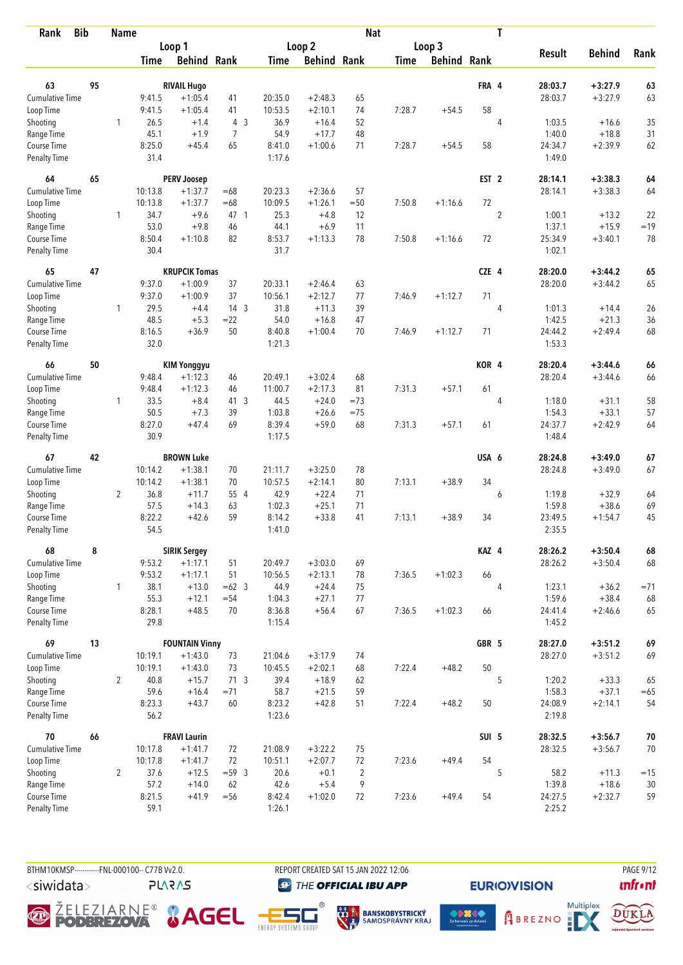| <b>Bib</b><br>Rank                 |    | <b>Name</b>    |                  |                        |                 |                    |                        | <b>Nat</b>     |             |                    |                  | T              |                   |               |        |
|------------------------------------|----|----------------|------------------|------------------------|-----------------|--------------------|------------------------|----------------|-------------|--------------------|------------------|----------------|-------------------|---------------|--------|
|                                    |    |                |                  | Loop 1                 |                 |                    | Loop 2                 |                |             | Loop 3             |                  |                |                   |               |        |
|                                    |    |                | <b>Time</b>      | <b>Behind Rank</b>     |                 | Time               | <b>Behind Rank</b>     |                | <b>Time</b> | <b>Behind Rank</b> |                  |                | <b>Result</b>     | <b>Behind</b> | Rank   |
| 63                                 | 95 |                |                  | <b>RIVAIL Hugo</b>     |                 |                    |                        |                |             |                    | FRA 4            |                | 28:03.7           | $+3:27.9$     | 63     |
| Cumulative Time                    |    |                | 9:41.5           | $+1:05.4$              | 41              | 20:35.0            | $+2:48.3$              | 65             |             |                    |                  |                | 28:03.7           | $+3:27.9$     | 63     |
| Loop Time                          |    |                | 9:41.5           | $+1:05.4$              | 41              | 10:53.5            | $+2:10.1$              | 74             | 7:28.7      | $+54.5$            | 58               |                |                   |               |        |
| Shooting                           |    | 1              | 26.5             | $+1.4$                 | 4 <sup>3</sup>  | 36.9               | $+16.4$                | 52             |             |                    |                  | 4              | 1:03.5            | $+16.6$       | 35     |
| Range Time                         |    |                | 45.1             | $+1.9$                 | 7               | 54.9               | $+17.7$                | 48             |             |                    |                  |                | 1:40.0            | $+18.8$       | 31     |
| Course Time                        |    |                | 8:25.0           | $+45.4$                | 65              | 8:41.0             | $+1:00.6$              | 71             | 7:28.7      | $+54.5$            | 58               |                | 24:34.7           | $+2:39.9$     | 62     |
| Penalty Time                       |    |                | 31.4             |                        |                 | 1:17.6             |                        |                |             |                    |                  |                | 1:49.0            |               |        |
| 64                                 | 65 |                |                  | <b>PERV Joosep</b>     |                 |                    |                        |                |             |                    | EST <sub>2</sub> |                | 28:14.1           | $+3:38.3$     | 64     |
| <b>Cumulative Time</b>             |    |                | 10:13.8          | $+1:37.7$              | $=68$           | 20:23.3            | $+2:36.6$              | 57             |             |                    |                  |                | 28:14.1           | $+3:38.3$     | 64     |
| Loop Time                          |    |                | 10:13.8          | $+1:37.7$              | $=68$           | 10:09.5            | $+1:26.1$              | $=50$          | 7:50.8      | $+1:16.6$          | 72               |                |                   |               |        |
| Shooting                           |    | 1              | 34.7             | $+9.6$                 | 47 1            | 25.3               | $+4.8$                 | 12             |             |                    |                  | $\overline{c}$ | 1:00.1            | $+13.2$       | 22     |
| Range Time                         |    |                | 53.0             | $+9.8$                 | 46              | 44.1               | $+6.9$                 | 11             |             |                    |                  |                | 1:37.1            | $+15.9$       | $=19$  |
| Course Time                        |    |                | 8:50.4           | $+1:10.8$              | 82              | 8:53.7             | $+1:13.3$              | 78             | 7:50.8      | $+1:16.6$          | 72               |                | 25:34.9           | $+3:40.1$     | 78     |
| <b>Penalty Time</b>                |    |                | 30.4             |                        |                 | 31.7               |                        |                |             |                    |                  |                | 1:02.1            |               |        |
| 65                                 | 47 |                |                  | <b>KRUPCIK Tomas</b>   |                 |                    |                        |                |             |                    | CZE 4            |                | 28:20.0           | $+3:44.2$     | 65     |
| Cumulative Time                    |    |                | 9:37.0           | $+1:00.9$              | 37              | 20:33.1            | $+2:46.4$              | 63             |             |                    |                  |                | 28:20.0           | $+3:44.2$     | 65     |
| Loop Time                          |    |                | 9:37.0           | $+1:00.9$              | 37              | 10:56.1            | $+2:12.7$              | 77             | 7:46.9      | $+1:12.7$          | 71               |                |                   |               |        |
| Shooting                           |    | 1              | 29.5             | $+4.4$                 | 14 <sub>3</sub> | 31.8               | $+11.3$                | 39             |             |                    |                  | 4              | 1:01.3            | $+14.4$       | 26     |
| Range Time                         |    |                | 48.5             | $+5.3$                 | $= 22$          | 54.0               | $+16.8$                | 47             |             |                    |                  |                | 1:42.5            | $+21.3$       | 36     |
| Course Time<br><b>Penalty Time</b> |    |                | 8:16.5<br>32.0   | $+36.9$                | 50              | 8:40.8<br>1:21.3   | $+1:00.4$              | 70             | 7:46.9      | $+1:12.7$          | 71               |                | 24:44.2<br>1:53.3 | $+2:49.4$     | 68     |
|                                    |    |                |                  |                        |                 |                    |                        |                |             |                    |                  |                |                   |               |        |
| 66                                 | 50 |                |                  | <b>KIM Yonggyu</b>     |                 |                    |                        |                |             |                    | KOR 4            |                | 28:20.4           | $+3:44.6$     | 66     |
| <b>Cumulative Time</b>             |    |                | 9:48.4<br>9:48.4 | $+1:12.3$<br>$+1:12.3$ | 46              | 20:49.1<br>11:00.7 | $+3:02.4$<br>$+2:17.3$ | 68<br>81       | 7:31.3      |                    | 61               |                | 28:20.4           | $+3:44.6$     | 66     |
| Loop Time<br>Shooting              |    | $\mathbf{1}$   | 33.5             | $+8.4$                 | 46<br>41 3      | 44.5               | $+24.0$                | $=73$          |             | $+57.1$            |                  | 4              | 1:18.0            | $+31.1$       | 58     |
| Range Time                         |    |                | 50.5             | $+7.3$                 | 39              | 1:03.8             | $+26.6$                | $=75$          |             |                    |                  |                | 1:54.3            | $+33.1$       | 57     |
| Course Time                        |    |                | 8:27.0           | $+47.4$                | 69              | 8:39.4             | $+59.0$                | 68             | 7:31.3      | $+57.1$            | 61               |                | 24:37.7           | $+2:42.9$     | 64     |
| <b>Penalty Time</b>                |    |                | 30.9             |                        |                 | 1:17.5             |                        |                |             |                    |                  |                | 1:48.4            |               |        |
| 67                                 | 42 |                |                  | <b>BROWN Luke</b>      |                 |                    |                        |                |             |                    | USA 6            |                | 28:24.8           | $+3:49.0$     | 67     |
| <b>Cumulative Time</b>             |    |                | 10:14.2          | $+1:38.1$              | 70              | 21:11.7            | $+3:25.0$              | 78             |             |                    |                  |                | 28:24.8           | $+3:49.0$     | 67     |
| Loop Time                          |    |                | 10:14.2          | $+1:38.1$              | 70              | 10:57.5            | $+2:14.1$              | 80             | 7:13.1      | $+38.9$            | 34               |                |                   |               |        |
| Shooting                           |    | $\overline{2}$ | 36.8             | $+11.7$                | 55 4            | 42.9               | $+22.4$                | 71             |             |                    |                  | 6              | 1:19.8            | $+32.9$       | 64     |
| Range Time                         |    |                | 57.5             | $+14.3$                | 63              | 1:02.3             | $+25.1$                | 71             |             |                    |                  |                | 1:59.8            | $+38.6$       | 69     |
| Course Time                        |    |                | 8:22.2           | $+42.6$                | 59              | 8:14.2             | $+33.8$                | 41             | 7:13.1      | $+38.9$            | 34               |                | 23:49.5           | $+1:54.7$     | 45     |
| <b>Penalty Time</b>                |    |                | 54.5             |                        |                 | 1:41.0             |                        |                |             |                    |                  |                | 2:35.5            |               |        |
| 68                                 | 8  |                |                  | <b>SIRIK Sergey</b>    |                 |                    |                        |                |             |                    | KAZ 4            |                | 28:26.2           | $+3:50.4$     | 68     |
| <b>Cumulative Time</b>             |    |                | 9:53.2           | $+1:17.1$              | 51              | 20:49.7            | $+3:03.0$              | 69             |             |                    |                  |                | 28:26.2           | $+3:50.4$     | 68     |
| Loop Time                          |    |                | 9:53.2           | $+1:17.1$              | 51              | 10:56.5            | $+2:13.1$              | 78             | 7:36.5      | $+1:02.3$          | 66               |                |                   |               |        |
| Shooting                           |    | $\mathbf{1}$   | 38.1             | $+13.0$                | $=62$ 3         | 44.9               | $+24.4$                | 75             |             |                    |                  | $\overline{4}$ | 1:23.1            | $+36.2$       | $= 71$ |
| Range Time                         |    |                | 55.3             | $+12.1$                | $= 54$          | 1:04.3             | $+27.1$                | 77             |             |                    |                  |                | 1:59.6            | $+38.4$       | 68     |
| Course Time<br>Penalty Time        |    |                | 8:28.1<br>29.8   | $+48.5$                | 70              | 8:36.8<br>1:15.4   | $+56.4$                | 67             | 7:36.5      | $+1:02.3$          | 66               |                | 24:41.4<br>1:45.2 | $+2:46.6$     | 65     |
| 69                                 | 13 |                |                  | <b>FOUNTAIN Vinny</b>  |                 |                    |                        |                |             |                    | GBR 5            |                | 28:27.0           | $+3:51.2$     | 69     |
| <b>Cumulative Time</b>             |    |                | 10:19.1          | $+1:43.0$              | 73              | 21:04.6            | $+3:17.9$              | 74             |             |                    |                  |                | 28:27.0           | $+3:51.2$     | 69     |
| Loop Time                          |    |                | 10:19.1          | $+1:43.0$              | 73              | 10:45.5            | $+2:02.1$              | 68             | 7:22.4      | $+48.2$            | 50               |                |                   |               |        |
| Shooting                           |    | $\overline{2}$ | 40.8             | $+15.7$                | 71 <sub>3</sub> | 39.4               | $+18.9$                | 62             |             |                    |                  | 5              | 1:20.2            | $+33.3$       | 65     |
| Range Time                         |    |                | 59.6             | $+16.4$                | $= 71$          | 58.7               | $+21.5$                | 59             |             |                    |                  |                | 1:58.3            | $+37.1$       | $= 65$ |
| Course Time                        |    |                | 8:23.3           | $+43.7$                | 60              | 8:23.2             | $+42.8$                | 51             | 7:22.4      | $+48.2$            | 50               |                | 24:08.9           | $+2:14.1$     | 54     |
| <b>Penalty Time</b>                |    |                | 56.2             |                        |                 | 1:23.6             |                        |                |             |                    |                  |                | 2:19.8            |               |        |
| 70                                 | 66 |                |                  | <b>FRAVI Laurin</b>    |                 |                    |                        |                |             |                    | SUI 5            |                | 28:32.5           | $+3:56.7$     | $70\,$ |
| <b>Cumulative Time</b>             |    |                | 10:17.8          | $+1:41.7$              | 72              | 21:08.9            | $+3:22.2$              | 75             |             |                    |                  |                | 28:32.5           | $+3:56.7$     | 70     |
| Loop Time                          |    |                | 10:17.8          | $+1:41.7$              | 72              | 10:51.1            | $+2:07.7$              | 72             | 7:23.6      | $+49.4$            | 54               |                |                   |               |        |
| Shooting                           |    | $\overline{2}$ | 37.6             | $+12.5$                | $=59$ 3         | 20.6               | $+0.1$                 | $\overline{2}$ |             |                    |                  | 5              | 58.2              | $+11.3$       | $=15$  |
| Range Time                         |    |                | 57.2             | $+14.0$                | 62              | 42.6               | $+5.4$                 | 9              |             |                    |                  |                | 1:39.8            | $+18.6$       | 30     |
| Course Time                        |    |                | 8:21.5           | $+41.9$                | $=56$           | 8:42.4             | $+1:02.0$              | 72             | 7:23.6      | $+49.4$            | 54               |                | 24:27.5           | $+2:32.7$     | 59     |
| Penalty Time                       |    |                | 59.1             |                        |                 | 1:26.1             |                        |                |             |                    |                  |                | 2:25.2            |               |        |

BTHM10KMSP-----------FNL-000100-- C77B Vv2.0. REPORT CREATED SAT 15 JAN 2022 12:06 PAGE 9/12 <siwidata>

**PLARAS** 

**THE OFFICIAL IBU APP** 

*<u><u>Infront</u>*</u>









**EURIO)VISION** 

**Contact Service Service Service Service Service Service Service Service Service Service Service Service Service Service Service Service Service Service Service Service Service Service Service Service Service Service Servi** 

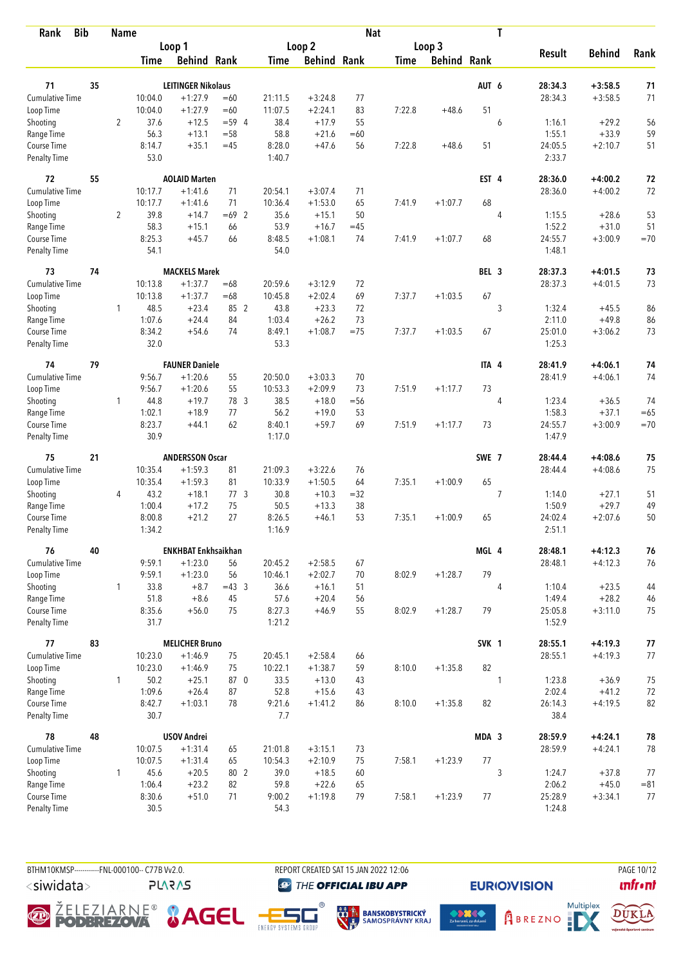| <b>Bib</b><br>Rank          |    | <b>Name</b>    |                |                            |                 |                  |                    | <b>Nat</b> |             |                    |       | T              |                   |               |        |
|-----------------------------|----|----------------|----------------|----------------------------|-----------------|------------------|--------------------|------------|-------------|--------------------|-------|----------------|-------------------|---------------|--------|
|                             |    |                |                | Loop 1                     |                 |                  | Loop 2             |            |             | Loop 3             |       |                |                   |               |        |
|                             |    |                | <b>Time</b>    | <b>Behind Rank</b>         |                 | <b>Time</b>      | <b>Behind Rank</b> |            | <b>Time</b> | <b>Behind Rank</b> |       |                | <b>Result</b>     | <b>Behind</b> | Rank   |
|                             |    |                |                |                            |                 |                  |                    |            |             |                    |       |                |                   |               |        |
| 71                          | 35 |                |                | <b>LEITINGER Nikolaus</b>  |                 |                  |                    |            |             |                    | AUT 6 |                | 28:34.3           | $+3:58.5$     | 71     |
| Cumulative Time             |    |                | 10:04.0        | $+1:27.9$                  | $=60$           | 21:11.5          | $+3:24.8$          | 77         |             |                    |       |                | 28:34.3           | $+3:58.5$     | 71     |
| Loop Time                   |    |                | 10:04.0        | $+1:27.9$                  | $=60$           | 11:07.5          | $+2:24.1$          | 83         | 7:22.8      | $+48.6$            | 51    |                |                   |               |        |
| Shooting                    |    | $\overline{2}$ | 37.6           | $+12.5$                    | $= 59.4$        | 38.4             | $+17.9$            | 55         |             |                    |       | 6              | 1:16.1            | $+29.2$       | 56     |
| Range Time                  |    |                | 56.3           | $+13.1$                    | $= 58$          | 58.8             | $+21.6$            | $=60$      |             |                    |       |                | 1:55.1            | $+33.9$       | 59     |
| Course Time<br>Penalty Time |    |                | 8:14.7<br>53.0 | $+35.1$                    | $=45$           | 8:28.0<br>1:40.7 | $+47.6$            | 56         | 7:22.8      | $+48.6$            | 51    |                | 24:05.5<br>2:33.7 | $+2:10.7$     | 51     |
| 72                          | 55 |                |                | <b>AOLAID Marten</b>       |                 |                  |                    |            |             |                    | EST 4 |                | 28:36.0           | $+4:00.2$     | 72     |
| <b>Cumulative Time</b>      |    |                | 10:17.7        | $+1:41.6$                  | 71              | 20:54.1          | $+3:07.4$          | 71         |             |                    |       |                | 28:36.0           | $+4:00.2$     | 72     |
| Loop Time                   |    |                | 10:17.7        | $+1:41.6$                  | 71              | 10:36.4          | $+1:53.0$          | 65         | 7:41.9      | $+1:07.7$          | 68    |                |                   |               |        |
| Shooting                    |    | $\overline{2}$ | 39.8           | $+14.7$                    | $=69$ 2         | 35.6             | $+15.1$            | 50         |             |                    |       | 4              | 1:15.5            | $+28.6$       | 53     |
| Range Time                  |    |                | 58.3           | $+15.1$                    | 66              | 53.9             | $+16.7$            | $=45$      |             |                    |       |                | 1:52.2            | $+31.0$       | 51     |
| Course Time                 |    |                | 8:25.3         | $+45.7$                    | 66              | 8:48.5           | $+1:08.1$          | 74         | 7:41.9      | $+1:07.7$          | 68    |                | 24:55.7           | $+3:00.9$     | $=70$  |
| <b>Penalty Time</b>         |    |                | 54.1           |                            |                 | 54.0             |                    |            |             |                    |       |                | 1:48.1            |               |        |
| 73                          | 74 |                |                | <b>MACKELS Marek</b>       |                 |                  |                    |            |             |                    | BEL 3 |                | 28:37.3           | $+4:01.5$     | 73     |
| <b>Cumulative Time</b>      |    |                | 10:13.8        | $+1:37.7$                  | $=68$           | 20:59.6          | $+3:12.9$          | 72         |             |                    |       |                | 28:37.3           | $+4:01.5$     | 73     |
| Loop Time                   |    |                | 10:13.8        | $+1:37.7$                  | $=68$           | 10:45.8          | $+2:02.4$          | 69         | 7:37.7      | $+1:03.5$          | 67    |                |                   |               |        |
| Shooting                    |    | 1              | 48.5           | $+23.4$                    | 85 2            | 43.8             | $+23.3$            | 72         |             |                    |       | 3              | 1:32.4            | $+45.5$       | 86     |
| Range Time                  |    |                | 1:07.6         | $+24.4$                    | 84              | 1:03.4           | $+26.2$            | 73         |             |                    |       |                | 2:11.0            | $+49.8$       | 86     |
| Course Time                 |    |                | 8:34.2         | $+54.6$                    | 74              | 8:49.1           | $+1:08.7$          | $=75$      | 7:37.7      | $+1:03.5$          | 67    |                | 25:01.0           | $+3:06.2$     | 73     |
| Penalty Time                |    |                | 32.0           |                            |                 | 53.3             |                    |            |             |                    |       |                | 1:25.3            |               |        |
| 74                          | 79 |                |                | <b>FAUNER Daniele</b>      |                 |                  |                    |            |             |                    | ITA 4 |                | 28:41.9           | $+4:06.1$     | 74     |
| Cumulative Time             |    |                | 9:56.7         | $+1:20.6$                  | 55              | 20:50.0          | $+3:03.3$          | 70         |             |                    |       |                | 28:41.9           | $+4:06.1$     | 74     |
| Loop Time                   |    |                | 9:56.7         | $+1:20.6$                  | 55              | 10:53.3          | $+2:09.9$          | 73         | 7:51.9      | $+1:17.7$          | 73    |                |                   |               |        |
| Shooting                    |    | $\mathbf{1}$   | 44.8           | $+19.7$                    | 78 3            | 38.5             | $+18.0$            | $= 56$     |             |                    |       | 4              | 1:23.4            | $+36.5$       | 74     |
| Range Time                  |    |                | 1:02.1         | $+18.9$                    | 77              | 56.2             | $+19.0$            | 53         |             |                    |       |                | 1:58.3            | $+37.1$       | $=65$  |
| Course Time                 |    |                | 8:23.7         | $+44.1$                    | 62              | 8:40.1           | $+59.7$            | 69         | 7:51.9      | $+1:17.7$          | 73    |                | 24:55.7           | $+3:00.9$     | $=70$  |
| <b>Penalty Time</b>         |    |                | 30.9           |                            |                 | 1:17.0           |                    |            |             |                    |       |                | 1:47.9            |               |        |
| 75                          | 21 |                |                | <b>ANDERSSON Oscar</b>     |                 |                  |                    |            |             |                    | SWE 7 |                | 28:44.4           | $+4:08.6$     | 75     |
| <b>Cumulative Time</b>      |    |                | 10:35.4        | $+1:59.3$                  | 81              | 21:09.3          | $+3:22.6$          | 76         |             |                    |       |                | 28:44.4           | $+4:08.6$     | 75     |
| Loop Time                   |    |                | 10:35.4        | $+1:59.3$                  | 81              | 10:33.9          | $+1:50.5$          | 64         | 7:35.1      | $+1:00.9$          | 65    |                |                   |               |        |
| Shooting                    |    | 4              | 43.2           | $+18.1$                    | 77 <sub>3</sub> | 30.8             | $+10.3$            | $=32$      |             |                    |       | 7              | 1:14.0            | $+27.1$       | 51     |
| Range Time                  |    |                | 1:00.4         | $+17.2$                    | 75              | 50.5             | $+13.3$            | 38         |             |                    |       |                | 1:50.9            | $+29.7$       | 49     |
| Course Time                 |    |                | 8:00.8         | $+21.2$                    | 27              | 8:26.5           | $+46.1$            | 53         | 7:35.1      | $+1:00.9$          | 65    |                | 24:02.4           | $+2:07.6$     | 50     |
| <b>Penalty Time</b>         |    |                | 1:34.2         |                            |                 | 1:16.9           |                    |            |             |                    |       |                | 2:51.1            |               |        |
| 76                          | 40 |                |                | <b>ENKHBAT Enkhsaikhan</b> |                 |                  |                    |            |             |                    | MGL 4 |                | 28:48.1           | $+4:12.3$     | 76     |
| <b>Cumulative Time</b>      |    |                | 9:59.1         | $+1:23.0$                  | 56              | 20:45.2          | $+2:58.5$          | 67         |             |                    |       |                | 28:48.1           | $+4:12.3$     | 76     |
| Loop Time                   |    |                | 9:59.1         | $+1:23.0$                  | 56              | 10:46.1          | $+2:02.7$          | 70         | 8:02.9      | $+1:28.7$          | 79    |                |                   |               |        |
| Shooting                    |    | 1              | 33.8           | $+8.7$                     | $=43.3$         | 36.6             | $+16.1$            | 51         |             |                    |       | $\overline{4}$ | 1:10.4            | $+23.5$       | 44     |
| Range Time                  |    |                | 51.8           | $+8.6$                     | 45              | 57.6             | $+20.4$            | 56         |             |                    |       |                | 1:49.4            | $+28.2$       | $46\,$ |
| Course Time                 |    |                | 8:35.6         | $+56.0$                    | 75              | 8:27.3           | $+46.9$            | 55         | 8:02.9      | $+1:28.7$          | 79    |                | 25:05.8           | $+3:11.0$     | 75     |
| Penalty Time                |    |                | 31.7           |                            |                 | 1:21.2           |                    |            |             |                    |       |                | 1:52.9            |               |        |
| 77                          | 83 |                |                | <b>MELICHER Bruno</b>      |                 |                  |                    |            |             |                    | SVK 1 |                | 28:55.1           | $+4:19.3$     | 77     |
| <b>Cumulative Time</b>      |    |                | 10:23.0        | $+1:46.9$                  | 75              | 20:45.1          | $+2:58.4$          | 66         |             |                    |       |                | 28:55.1           | $+4:19.3$     | 77     |
| Loop Time                   |    |                | 10:23.0        | $+1:46.9$                  | 75              | 10:22.1          | $+1:38.7$          | 59         | 8:10.0      | $+1:35.8$          | 82    |                |                   |               |        |
| Shooting                    |    | $\mathbf{1}$   | 50.2           | $+25.1$                    | 87 0            | 33.5             | $+13.0$            | 43         |             |                    |       | 1              | 1:23.8            | $+36.9$       | 75     |
| Range Time                  |    |                | 1:09.6         | $+26.4$                    | 87              | 52.8             | $+15.6$            | 43         |             |                    |       |                | 2:02.4            | $+41.2$       | 72     |
| Course Time                 |    |                | 8:42.7         | $+1:03.1$                  | 78              | 9:21.6           | $+1:41.2$          | 86         | 8:10.0      | $+1:35.8$          | 82    |                | 26:14.3           | $+4:19.5$     | 82     |
| Penalty Time                |    |                | 30.7           |                            |                 | 7.7              |                    |            |             |                    |       |                | 38.4              |               |        |
| 78                          | 48 |                |                | <b>USOV Andrei</b>         |                 |                  |                    |            |             |                    | MDA 3 |                | 28:59.9           | $+4:24.1$     | 78     |
| <b>Cumulative Time</b>      |    |                | 10:07.5        | $+1:31.4$                  | 65              | 21:01.8          | $+3:15.1$          | 73         |             |                    |       |                | 28:59.9           | $+4:24.1$     | 78     |
| Loop Time                   |    |                | 10:07.5        | $+1:31.4$                  | 65              | 10:54.3          | $+2:10.9$          | 75         | 7:58.1      | $+1:23.9$          | 77    |                |                   |               |        |
| Shooting                    |    | $\mathbf{1}$   | 45.6           | $+20.5$                    | 80 2            | 39.0             | $+18.5$            | 60         |             |                    |       | 3              | 1:24.7            | $+37.8$       | 77     |
| Range Time<br>Course Time   |    |                | 1:06.4         | $+23.2$                    | 82              | 59.8             | $+22.6$            | 65<br>79   |             |                    |       |                | 2:06.2            | $+45.0$       | $= 81$ |
| <b>Penalty Time</b>         |    |                | 8:30.6<br>30.5 | $+51.0$                    | 71              | 9:00.2<br>54.3   | $+1:19.8$          |            | 7:58.1      | $+1:23.9$          | 77    |                | 25:28.9<br>1:24.8 | $+3:34.1$     | 77     |
|                             |    |                |                |                            |                 |                  |                    |            |             |                    |       |                |                   |               |        |

BTHM10KMSP-----------FNL-000100-- C77B Vv2.0. REPORT CREATED SAT 15 JAN 2022 12:06 PAGE 10/12 <siwidata>

**PLARAS** 

**THE OFFICIAL IBU APP** 

*<u><u>Infront</u>*</u>









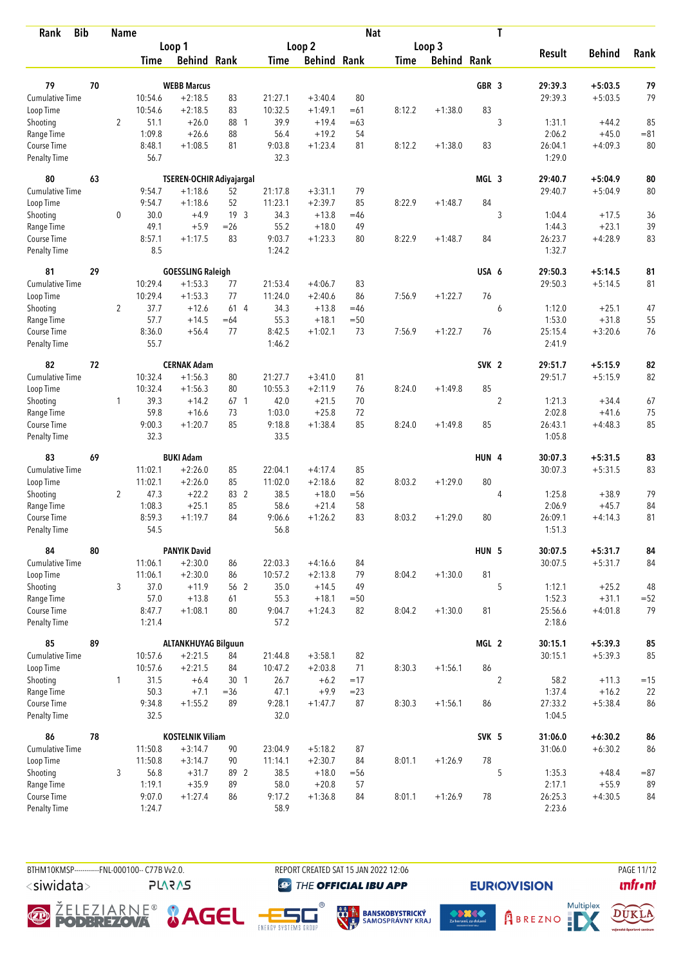| <b>Bib</b><br>Rank                 |    | <b>Name</b>    |                  |                            |                          |                |                    | <b>Nat</b> |             |                    |                  | T              |                   |               |        |
|------------------------------------|----|----------------|------------------|----------------------------|--------------------------|----------------|--------------------|------------|-------------|--------------------|------------------|----------------|-------------------|---------------|--------|
|                                    |    |                |                  | Loop 1                     |                          |                | Loop 2             |            |             | Loop 3             |                  |                |                   |               |        |
|                                    |    |                | <b>Time</b>      | <b>Behind Rank</b>         |                          | <b>Time</b>    | <b>Behind Rank</b> |            | <b>Time</b> | <b>Behind Rank</b> |                  |                | <b>Result</b>     | <b>Behind</b> | Rank   |
| 79                                 | 70 |                |                  | <b>WEBB Marcus</b>         |                          |                |                    |            |             |                    | GBR <sub>3</sub> |                | 29:39.3           | $+5:03.5$     | 79     |
| <b>Cumulative Time</b>             |    |                | 10:54.6          | $+2:18.5$                  | 83                       | 21:27.1        | $+3:40.4$          | 80         |             |                    |                  |                | 29:39.3           | $+5:03.5$     | 79     |
|                                    |    |                | 10:54.6          | $+2:18.5$                  | 83                       | 10:32.5        | $+1:49.1$          | $=61$      | 8:12.2      | $+1:38.0$          | 83               |                |                   |               |        |
| Loop Time<br>Shooting              |    | $\overline{2}$ | 51.1             | $+26.0$                    | 88 1                     | 39.9           | $+19.4$            | $=63$      |             |                    |                  | 3              | 1:31.1            | $+44.2$       | 85     |
| Range Time                         |    |                | 1:09.8           | $+26.6$                    | 88                       | 56.4           | $+19.2$            | 54         |             |                    |                  |                | 2:06.2            | $+45.0$       | $= 81$ |
| Course Time                        |    |                | 8:48.1           | $+1:08.5$                  | 81                       | 9:03.8         | $+1:23.4$          | 81         | 8:12.2      | $+1:38.0$          | 83               |                | 26:04.1           | $+4:09.3$     | 80     |
| <b>Penalty Time</b>                |    |                | 56.7             |                            |                          | 32.3           |                    |            |             |                    |                  |                | 1:29.0            |               |        |
| 80                                 | 63 |                |                  |                            | TSEREN-OCHIR Adiyajargal |                |                    |            |             |                    | MGL 3            |                | 29:40.7           | $+5:04.9$     | 80     |
| Cumulative Time                    |    |                | 9:54.7           | $+1:18.6$                  | 52                       | 21:17.8        | $+3:31.1$          | 79         |             |                    |                  |                | 29:40.7           | $+5:04.9$     | 80     |
| Loop Time                          |    |                | 9:54.7           | $+1:18.6$                  | 52                       | 11:23.1        | $+2:39.7$          | 85         | 8:22.9      | $+1:48.7$          | 84               |                |                   |               |        |
| Shooting                           |    | 0              | 30.0             | $+4.9$                     | 19 <sup>3</sup>          | 34.3           | $+13.8$            | $=46$      |             |                    |                  | 3              | 1:04.4            | $+17.5$       | 36     |
| Range Time                         |    |                | 49.1             | $+5.9$                     | $=26$                    | 55.2           | $+18.0$            | 49         |             |                    |                  |                | 1:44.3            | $+23.1$       | 39     |
| Course Time                        |    |                | 8:57.1           | $+1:17.5$                  | 83                       | 9:03.7         | $+1:23.3$          | 80         | 8:22.9      | $+1:48.7$          | 84               |                | 26:23.7           | $+4:28.9$     | 83     |
| <b>Penalty Time</b>                |    |                | 8.5              |                            |                          | 1:24.2         |                    |            |             |                    |                  |                | 1:32.7            |               |        |
| 81                                 | 29 |                |                  | <b>GOESSLING Raleigh</b>   |                          |                |                    |            |             |                    | USA 6            |                | 29:50.3           | $+5:14.5$     | 81     |
| Cumulative Time                    |    |                | 10:29.4          | $+1:53.3$                  | 77                       | 21:53.4        | $+4:06.7$          | 83         |             |                    |                  |                | 29:50.3           | $+5:14.5$     | 81     |
| Loop Time                          |    |                | 10:29.4          | $+1:53.3$                  | 77                       | 11:24.0        | $+2:40.6$          | 86         | 7:56.9      | $+1:22.7$          | 76               |                |                   |               |        |
| Shooting                           |    | $\overline{2}$ | 37.7             | $+12.6$                    | 614                      | 34.3           | $+13.8$            | $=46$      |             |                    |                  | 6              | 1:12.0            | $+25.1$       | 47     |
| Range Time                         |    |                | 57.7             | $+14.5$                    | $=64$                    | 55.3           | $+18.1$            | $= 50$     |             |                    |                  |                | 1:53.0            | $+31.8$       | 55     |
| Course Time                        |    |                | 8:36.0           | $+56.4$                    | 77                       | 8:42.5         | $+1:02.1$          | 73         | 7:56.9      | $+1:22.7$          | 76               |                | 25:15.4           | $+3:20.6$     | 76     |
| <b>Penalty Time</b>                |    |                | 55.7             |                            |                          | 1:46.2         |                    |            |             |                    |                  |                | 2:41.9            |               |        |
| 82                                 | 72 |                |                  | <b>CERNAK Adam</b>         |                          |                |                    |            |             |                    | SVK <sub>2</sub> |                | 29:51.7           | $+5:15.9$     | 82     |
| Cumulative Time                    |    |                | 10:32.4          | $+1:56.3$                  | 80                       | 21:27.7        | $+3:41.0$          | 81         |             |                    |                  |                | 29:51.7           | $+5:15.9$     | 82     |
| Loop Time                          |    |                | 10:32.4          | $+1:56.3$                  | 80                       | 10:55.3        | $+2:11.9$          | 76         | 8:24.0      | $+1:49.8$          | 85               |                |                   |               |        |
| Shooting                           |    | 1              | 39.3             | $+14.2$                    | 67 1                     | 42.0           | $+21.5$            | 70         |             |                    |                  | $\overline{2}$ | 1:21.3            | $+34.4$       | 67     |
| Range Time                         |    |                | 59.8             | $+16.6$                    | 73                       | 1:03.0         | $+25.8$            | 72         |             |                    |                  |                | 2:02.8            | $+41.6$       | 75     |
| Course Time<br><b>Penalty Time</b> |    |                | 9:00.3<br>32.3   | $+1:20.7$                  | 85                       | 9:18.8<br>33.5 | $+1:38.4$          | 85         | 8:24.0      | $+1:49.8$          | 85               |                | 26:43.1<br>1:05.8 | $+4:48.3$     | 85     |
|                                    |    |                |                  |                            |                          |                |                    |            |             |                    |                  |                |                   |               |        |
| 83                                 | 69 |                |                  | <b>BUKI Adam</b>           |                          |                |                    |            |             |                    | HUN 4            |                | 30:07.3           | $+5:31.5$     | 83     |
| Cumulative Time                    |    |                | 11:02.1          | $+2:26.0$                  | 85                       | 22:04.1        | $+4:17.4$          | 85         |             |                    |                  |                | 30:07.3           | $+5:31.5$     | 83     |
| Loop Time                          |    |                | 11:02.1          | $+2:26.0$                  | 85                       | 11:02.0        | $+2:18.6$          | 82         | 8:03.2      | $+1:29.0$          | 80               |                |                   |               |        |
| Shooting                           |    | $\overline{2}$ | 47.3             | $+22.2$                    | 83 2                     | 38.5           | $+18.0$            | $=$ 56     |             |                    |                  | 4              | 1:25.8            | $+38.9$       | 79     |
| Range Time                         |    |                | 1:08.3           | $+25.1$                    | 85                       | 58.6           | $+21.4$            | 58         |             |                    |                  |                | 2:06.9            | $+45.7$       | 84     |
| Course Time                        |    |                | 8:59.3           | $+1:19.7$                  | 84                       | 9:06.6         | $+1:26.2$          | 83         | 8:03.2      | $+1:29.0$          | 80               |                | 26:09.1           | $+4:14.3$     | 81     |
| <b>Penalty Time</b>                |    |                | 54.5             |                            |                          | 56.8           |                    |            |             |                    |                  |                | 1:51.3            |               |        |
| 84                                 | 80 |                |                  | <b>PANYIK David</b>        |                          |                |                    |            |             |                    | HUN <sub>5</sub> |                | 30:07.5           | $+5:31.7$     | 84     |
| <b>Cumulative Time</b>             |    |                | 11:06.1          | $+2:30.0$                  | 86                       | 22:03.3        | $+4:16.6$          | 84         |             |                    |                  |                | 30:07.5           | $+5:31.7$     | 84     |
| Loop Time                          |    |                | 11:06.1          | $+2:30.0$                  | 86                       | 10:57.2        | $+2:13.8$          | 79         | 8:04.2      | $+1:30.0$          | 81               |                |                   |               |        |
| Shooting                           |    | 3              | 37.0             | $+11.9$                    | 56 2                     | 35.0           | $+14.5$            | 49         |             |                    |                  | 5              | 1:12.1            | $+25.2$       | 48     |
| Range Time                         |    |                | 57.0             | $+13.8$                    | 61                       | 55.3           | $+18.1$            | $=50$      |             |                    |                  |                | 1:52.3            | $+31.1$       | $= 52$ |
| Course Time<br>Penalty Time        |    |                | 8:47.7<br>1:21.4 | $+1:08.1$                  | 80                       | 9:04.7<br>57.2 | $+1:24.3$          | 82         | 8:04.2      | $+1:30.0$          | 81               |                | 25:56.6<br>2:18.6 | $+4:01.8$     | 79     |
| 85                                 | 89 |                |                  | <b>ALTANKHUYAG Bilguun</b> |                          |                |                    |            |             |                    | MGL 2            |                | 30:15.1           | $+5:39.3$     | 85     |
| <b>Cumulative Time</b>             |    |                | 10:57.6          | $+2:21.5$                  | 84                       | 21:44.8        | $+3:58.1$          | 82         |             |                    |                  |                | 30:15.1           | $+5:39.3$     | 85     |
| Loop Time                          |    |                | 10:57.6          | $+2:21.5$                  | 84                       | 10:47.2        | $+2:03.8$          | 71         | 8:30.3      | $+1:56.1$          | 86               |                |                   |               |        |
| Shooting                           |    | $\mathbf{1}$   | 31.5             | $+6.4$                     | 30 <sub>1</sub>          | 26.7           | $+6.2$             | $=17$      |             |                    |                  | $\sqrt{2}$     | 58.2              | $+11.3$       | $=15$  |
| Range Time                         |    |                | 50.3             | $+7.1$                     | $= 36$                   | 47.1           | $+9.9$             | $= 23$     |             |                    |                  |                | 1:37.4            | $+16.2$       | 22     |
| Course Time                        |    |                | 9:34.8           | $+1:55.2$                  | 89                       | 9:28.1         | $+1:47.7$          | 87         | 8:30.3      | $+1:56.1$          | 86               |                | 27:33.2           | $+5:38.4$     | 86     |
| Penalty Time                       |    |                | 32.5             |                            |                          | 32.0           |                    |            |             |                    |                  |                | 1:04.5            |               |        |
| 86                                 | 78 |                |                  | <b>KOSTELNIK Viliam</b>    |                          |                |                    |            |             |                    | SVK 5            |                | 31:06.0           | $+6:30.2$     | 86     |
| <b>Cumulative Time</b>             |    |                | 11:50.8          | $+3:14.7$                  | 90                       | 23:04.9        | $+5:18.2$          | 87         |             |                    |                  |                | 31:06.0           | $+6:30.2$     | 86     |
| Loop Time                          |    |                | 11:50.8          | $+3:14.7$                  | 90                       | 11:14.1        | $+2:30.7$          | 84         | 8:01.1      | $+1:26.9$          | 78               |                |                   |               |        |
| Shooting                           |    | 3              | 56.8             | $+31.7$                    | 89 2                     | 38.5           | $+18.0$            | $=$ 56     |             |                    |                  | 5              | 1:35.3            | $+48.4$       | $= 87$ |
| Range Time                         |    |                | 1:19.1           | $+35.9$                    | 89                       | 58.0           | $+20.8$            | 57         |             |                    |                  |                | 2:17.1            | $+55.9$       | 89     |
| Course Time                        |    |                | 9:07.0           | $+1:27.4$                  | 86                       | 9:17.2         | $+1:36.8$          | 84         | 8:01.1      | $+1:26.9$          | 78               |                | 26:25.3           | $+4:30.5$     | 84     |
| Penalty Time                       |    |                | 1:24.7           |                            |                          | 58.9           |                    |            |             |                    |                  |                | 2:23.6            |               |        |

BTHM10KMSP-----------FNL-000100-- C77B Vv2.0. REPORT CREATED SAT 15 JAN 2022 12:06 PAGE 11/12 <siwidata>

**PLARAS** 

**THE OFFICIAL IBU APP** 

**O ŽELEZIARNE<sup>®</sup> & AGEL** 



**Contact Service Service Service Service Service Service Service Service Service Service Service Service Service Service Service Service Service Service Service Service Service Service Service Service Service Service Servi** 



**EURIO)VISION** 



*<u><u>Infront</u>*</u>